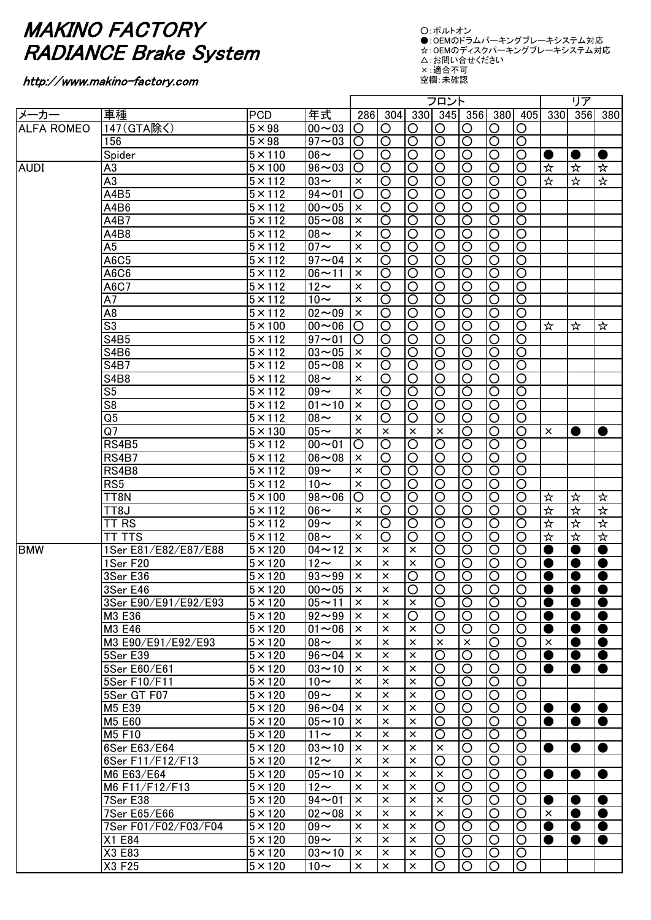## MAKINO FACTORY RADIANCE Brake System

## http://www.makino-factory.com

○:ボルトオン ●:OEMのドラムパーキングブレーキシステム対応 ☆:OEMのディスクパーキングブレーキシステム対応 △:お問い合せください ×:適合不可

空欄:未確認

|                   |                          |                      |                          |                    | フロント                    |                         |                         |                       |                         |                         | リア                   |                |                      |
|-------------------|--------------------------|----------------------|--------------------------|--------------------|-------------------------|-------------------------|-------------------------|-----------------------|-------------------------|-------------------------|----------------------|----------------|----------------------|
| メーカー              | 車種                       | <b>PCD</b>           | 年式                       | 286                | 304                     |                         |                         | 330 345 356           | 380                     | 405                     | 330                  | 356            | 380                  |
| <b>ALFA ROMEO</b> | 147 (GTA除く)              | $5 \times 98$        | $00 - 03$                | O                  | O                       | O                       | O                       | O                     | O                       | O                       |                      |                |                      |
|                   | 156                      | $5 \times 98$        | $97 - 03$                | O                  | $\overline{\rm O}$      | $\overline{\circ}$      | $\overline{\mathsf{O}}$ | ੋ                     | $\overline{\mathsf{O}}$ | $\overline{\rm O}$      |                      |                |                      |
|                   | Spider                   | $\overline{5}$ × 110 | $\overline{06}$ ~        | O                  | $\overline{\rm O}$      | $\overline{\mathsf{O}}$ | $\overline{\mathsf{O}}$ | ੋ                     | $\overline{\circ}$      | $\overline{\rm O}$      |                      |                | ●                    |
| <b>AUDI</b>       | A <sub>3</sub>           | $\overline{5}$ × 100 | $96 - 03$                | $\overline{\rm O}$ | $\overline{\rm O}$      | $\overline{\mathsf{O}}$ | ੋ                       | ੋ                     | $\overline{\circ}$      | $\overline{\circ}$      | ☆                    | ☆              | ☆                    |
|                   | $\overline{A3}$          | $\overline{5}$ × 112 | $\overline{03}$ ~        | $\times$           | $\overline{\rm O}$      | $\overline{\circ}$      | ੋ                       | ੋ                     | $\overline{\circ}$      | $\overline{\mathsf{O}}$ | 玲                    | ☆              | ☆                    |
|                   | A4B5                     | $5 \times 112$       | $94 - 01$                | O                  | $\overline{\rm O}$      | $\overline{\circ}$      | $\overline{O}$          | $\overline{\circ}$    | $\overline{\text{O}}$   | $\overline{\rm O}$      |                      |                |                      |
|                   | A4B6                     | $\overline{5}$ × 112 | $00 - 05$                | $\times$           | $\overline{\mathsf{O}}$ | $\overline{\circ}$      | $\overline{\mathsf{O}}$ | $\overline{\circ}$    | $\overline{\text{O}}$   | $\overline{\mathsf{O}}$ |                      |                |                      |
|                   | A4B7                     | $5 \times 112$       | $05 - 08$                | $\times$           | $\overline{\mathsf{O}}$ | $\overline{\circ}$      | $\overline{\mathsf{O}}$ | $\overline{\circ}$    | $\overline{\text{O}}$   | $\overline{\mathsf{O}}$ |                      |                |                      |
|                   | A4B8                     | $\overline{5}$ × 112 | $\overline{08}$          | $\times$           | $\overline{\mathsf{O}}$ | $\overline{\circ}$      | $\overline{\mathsf{O}}$ | $\overline{\text{O}}$ | $\overline{\text{O}}$   | $\overline{\mathsf{O}}$ |                      |                |                      |
|                   | $\overline{A5}$          | $\overline{5}$ × 112 | $\overline{07}$ ~        | $\times$           | $\overline{\mathsf{O}}$ | $\overline{\circ}$      | $\overline{\mathsf{O}}$ | $\overline{\text{O}}$ | $\overline{\text{O}}$   | $\overline{\mathsf{O}}$ |                      |                |                      |
|                   | A6C5                     | $5 \times 112$       | $97 - 04$                | $\times$           | $\overline{\mathsf{O}}$ | $\overline{\circ}$      | $\overline{\circ}$      | $\overline{\text{O}}$ | $\overline{\text{O}}$   | $\overline{\mathsf{O}}$ |                      |                |                      |
|                   | A6C6                     | $5 \times 112$       | $06 - 11$                | $\times$           | $\overline{\circ}$      | $\overline{\mathsf{O}}$ | $\overline{\circ}$      | $\overline{\text{O}}$ | $\overline{\text{O}}$   | $\overline{\mathsf{O}}$ |                      |                |                      |
|                   | A6C7                     | $5 \times 112$       | $\overline{12}$ ~        | $\times$           | O                       | $\overline{\circ}$      | $\overline{\circ}$      | $\overline{\circ}$    | $\overline{\circ}$      | $\overline{\mathsf{O}}$ |                      |                |                      |
|                   | $\overline{A7}$          | $5 \times 112$       | $\overline{10}$ ~        | $\times$           | $\overline{\rm O}$      | $\overline{\circ}$      | $\overline{\circ}$      | $\overline{\circ}$    | $\overline{\circ}$      | $\overline{\mathsf{O}}$ |                      |                |                      |
|                   | $\overline{AB}$          | $5 \times 112$       | $02 - 09$                | $\times$           | $\overline{\rm O}$      | $\overline{\circ}$      | $\overline{\circ}$      | $\overline{\circ}$    | $\overline{\mathsf{O}}$ | $\overline{\mathsf{O}}$ |                      |                |                      |
|                   | $\overline{\mathsf{S}3}$ | $5 \times 100$       | $00 - 06$                | O                  | O                       | $\overline{\circ}$      | $\overline{\circ}$      | $\overline{\circ}$    | $\overline{\mathsf{O}}$ | $\overline{\mathsf{O}}$ | ☆                    | ☆              | ☆                    |
|                   | <b>S4B5</b>              | $5 \times 112$       | $97 - 01$                | O                  | O                       | $\overline{O}$          | $\overline{O}$          | $\overline{\text{O}}$ | $\overline{\text{O}}$   | $\overline{\rm O}$      |                      |                |                      |
|                   | S4B6                     | $5 \times 112$       | $03 - 05$                | $\times$           | O                       | $\circ$                 | $\circ$                 | $\overline{O}$        | $\overline{O}$          | $\overline{\bigcirc}$   |                      |                |                      |
|                   | <b>S4B7</b>              | $5 \times 112$       | $05 - 08$                | $\times$           | O                       | $\circ$                 | $\circ$                 | $\overline{O}$        | $\overline{O}$          | $\overline{\text{O}}$   |                      |                |                      |
|                   | <b>S4B8</b>              | $5 \times 112$       | $08 -$                   | $\times$           | O                       | $\circ$                 | $\circ$                 | $\overline{O}$        | O                       | $\overline{\text{O}}$   |                      |                |                      |
|                   | S <sub>5</sub>           | $5 \times 112$       | $\overline{09}$ ~        | $\times$           | O                       | $\circ$                 | $\circ$                 | $\overline{\bigcirc}$ | $\overline{\text{O}}$   | $\overline{\circ}$      |                      |                |                      |
|                   | S8                       | $5 \times 112$       | $01 - 10$                | $\times$           | O                       | $\circ$                 | $\circ$                 | $\overline{\bigcirc}$ | $\overline{\text{O}}$   | $\overline{\circ}$      |                      |                |                      |
|                   | Q5                       | $5 \times 112$       | $\overline{0}8$ ~        | $\times$           | O                       | $\circ$                 | O                       | O                     | $\overline{O}$          | $\overline{\rm O}$      |                      |                |                      |
|                   | Q7                       | $5 \times 130$       | $05 -$                   | $\times$           | $\times$                | $\times$                | $\times$                | O                     | O                       | $\circ$                 | $\times$             |                | $\bullet$            |
|                   | RS4B5                    | $5 \times 112$       | $00 - 01$                | O                  | O                       | $\circ$                 | $\overline{\rm O}$      | $\overline{\rm O}$    | O                       | O                       |                      |                |                      |
|                   | <b>RS4B7</b>             | $5 \times 112$       | $06 - 08$                | $\times$           | O                       | O                       | O                       | O                     | O                       | $\circ$                 |                      |                |                      |
|                   | RS4B8                    | $5 \times 112$       | $\overline{0}9\sim$      | $\times$           | O                       | O                       | O                       | O                     | O                       | O                       |                      |                |                      |
|                   | RS <sub>5</sub>          | $5 \times 112$       | $10-$                    | $\times$           | O                       | $\circ$                 | $\circ$                 | O                     | O                       | $\overline{\rm O}$      |                      |                |                      |
|                   | TT8N                     | $5 \times 100$       | $98 - 06$                | O                  | O                       | $\bigcirc$              | O                       | O                     | $\circ$                 | O                       | ☆                    | ☆              | ☆                    |
|                   | <b>L8TT</b>              | $5 \times 112$       | $06\sim$                 | ×                  | O                       | $\circ$                 | O                       | O                     | O                       | O                       | $\frac{1}{\lambda}$  | ☆              | $\frac{1}{\sqrt{2}}$ |
|                   | TT RS                    | $5 \times 112$       | $09 -$                   | $\times$           | O                       | $\overline{\rm O}$      | O                       | $\overline{\rm O}$    | $\circ$                 | $\overline{\rm O}$      | $\frac{1}{\lambda}$  | 坏              | $\frac{1}{\lambda}$  |
|                   | TT TTS                   | $5 \times 112$       | $\overline{08}$ ~        | $\times$           | O                       | $\overline{\rm O}$      | O                       | $\overline{\rm O}$    | O                       | $\overline{\rm O}$      | $\frac{1}{\sqrt{2}}$ | 坏              | 坏                    |
| <b>BMW</b>        | 1Ser E81/E82/E87/E88     | $5 \times 120$       | $04 - 12$                | $\times$           | $\times$                | $\times$                | O                       | O                     | O                       | O                       | $\bullet$            | O              | $\bullet$            |
|                   | 1Ser F20                 | $5 \times 120$       | $\overline{12}$ ~        | $\times$           | $\times$                | $\times$                | O                       | O                     | O                       | O                       |                      |                | $\bullet$            |
|                   | 3Ser E36                 | $5 \times 120$       | $93 - 99$                | $\times$           | $\times$                | $\overline{O}$          | O                       | O                     | $\overline{O}$          | O                       |                      |                | $\bullet$            |
|                   | 3Ser E46                 | $5 \times 120$       | $100 \sim 05$ J $\times$ |                    | $\times$                | O                       | IO                      | IO                    | O                       | IO                      | $\bullet$            | $\bullet$      | $\bullet$            |
|                   | 3Ser E90/E91/E92/E93     | $5 \times 120$       | $05 - 11$                | ×                  | $\times$                | $\times$                | $\circ$                 | $\overline{O}$        | $\circ$                 | O                       | $\bullet$            | $\bullet$      | $\bullet$            |
|                   | M3 E36                   | $5 \times 120$       | $92 - 99$                | ×                  | ×                       | O                       | O                       | O                     | $\circ$                 | O                       | $\bullet$            | $\bullet$      | $\bullet$            |
|                   | M3 E46                   | $5 \times 120$       | $01 - 06$                | ×                  | ×                       | $\times$                | O                       | O                     | O                       | O                       |                      | 0              | $\bullet$            |
|                   | M3 E90/E91/E92/E93       | $5 \times 120$       | $08\sim$                 | ×                  | ×                       | $\times$                | $\times$                | $\times$              | O                       | O                       | $\times$             | c              | $\bullet$            |
|                   | 5Ser E39                 | $5 \times 120$       | $96 - 04$                | ×                  | $\times$                | $\times$                | O                       | O                     | $\circ$                 | O                       |                      | ●              | $\bullet$            |
|                   | 5Ser E60/E61             | $5 \times 120$       | $03 - 10$                | ×                  | $\times$                | $\times$                | O                       | O                     | $\circ$                 | O                       | $\bullet$            | 0              | $\bullet$            |
|                   | 5Ser F10/F11             | $5 \times 120$       | $10-$                    | ×                  | $\times$                | $\times$                | O                       | O                     | O                       | O                       |                      |                |                      |
|                   | 5Ser GT F07              | $5 \times 120$       | $09 -$                   | ×                  | ×                       | $\times$                | O                       | O                     | O                       | O                       |                      |                |                      |
|                   | M5 E39                   | $5 \times 120$       | $96 - 04$                | ×                  | ×                       | $\times$                | O                       | O                     | O                       | O                       | $\bullet$            | O              | $\bullet$            |
|                   | M5 E60                   | $5 \times 120$       | $05 - 10$                | ×                  | ×                       | $\times$                | O                       | O                     | O                       | O                       | $\bullet$            | $\bullet$      | $\bullet$            |
|                   | M5 F10                   | $5 \times 120$       | $11 \sim$                | ×                  | $\times$                | $\times$                | O                       | O                     | $\circ$                 | O                       |                      |                |                      |
|                   | 6Ser E63/E64             | $5 \times 120$       | $03 - 10$                | ×                  | $\times$                | $\times$                | $\times$                | O                     | $\circ$                 | O                       | $\bullet$            | O              | $\bullet$            |
|                   | 6Ser F11/F12/F13         | $5 \times 120$       | $12\sim$                 | ×                  | $\times$                | $\times$                | O                       | O                     | $\circ$                 | O                       |                      |                |                      |
|                   | M6 E63/E64               | $5 \times 120$       | $05 - 10$                | ×                  | $\times$                | $\times$                | $\times$                | O                     | $\circ$                 | O                       | $\bullet$            | ●              | $\bullet$            |
|                   | M6 F11/F12/F13           | $5 \times 120$       | $12\sim$                 | ×                  | $\times$                | $\times$                | O                       | O                     | $\circ$                 | O                       |                      |                |                      |
|                   | 7Ser E38                 | $5 \times 120$       | $94 - 01$                | ×                  | $\times$                | $\times$                | $\times$                | O                     | $\circ$                 | O                       |                      | $\blacksquare$ | $\bullet$            |
|                   | 7Ser E65/E66             | $5 \times 120$       | $02 - 08$                | ×                  | $\times$                | $\times$                | $\times$                | O                     | $\circ$                 | O                       | $\times$             | $\bullet$      | $\bullet$            |
|                   | 7Ser F01/F02/F03/F04     | $5 \times 120$       | $09 -$                   | $\times$           | $\times$                | $\times$                | O                       | O                     | $\overline{O}$          | O                       | $\bullet$            | $\bullet$      | $\bullet$            |
|                   | X1 E84                   | $5 \times 120$       | $09 -$                   | ×                  | $\times$                | $\times$                | O                       | O                     | $\overline{\bigcirc}$   | O                       | $\bullet$            | $\bullet$      | $\bullet$            |
|                   | X3 E83                   | $5 \times 120$       | $03 - 10$                | $\times$           | $\times$                | $\times$                | O                       |                       | $\circ$                 | O                       |                      |                |                      |
|                   |                          |                      | $10\sim$                 | $\times$           |                         | $\pmb{\times}$          |                         | O                     |                         |                         |                      |                |                      |
|                   | X3 F25                   | $5 \times 120$       |                          |                    | $\pmb{\times}$          |                         | O                       | O                     | $\circ$                 | O                       |                      |                |                      |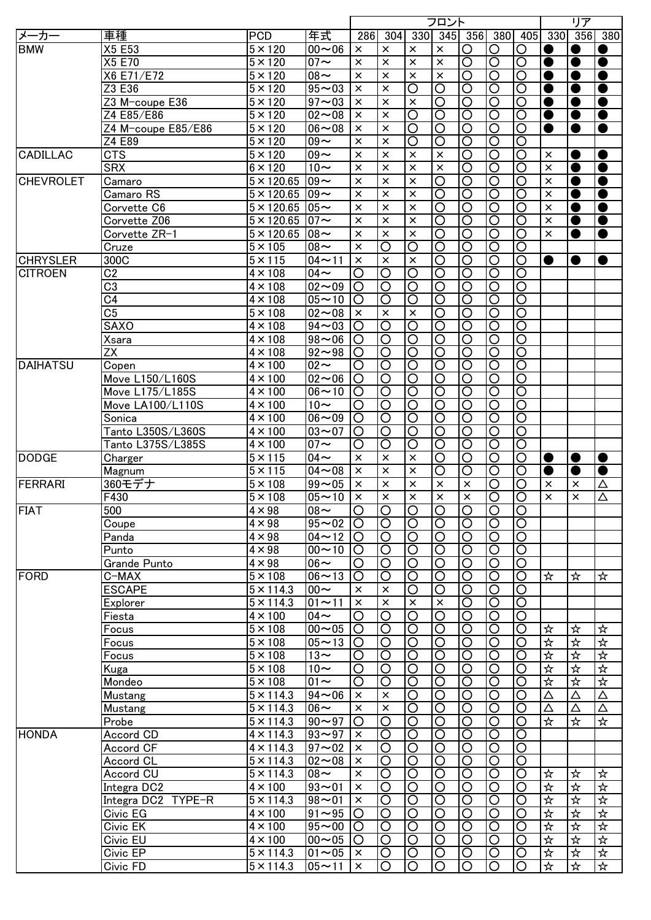|                  |                    |                   |                      |                |                       |                         | フロント                    |                         |                         |                         |                      | リア                   |           |
|------------------|--------------------|-------------------|----------------------|----------------|-----------------------|-------------------------|-------------------------|-------------------------|-------------------------|-------------------------|----------------------|----------------------|-----------|
| メーカー             | 車種                 | <b>PCD</b>        | 年式                   | 286            | 304                   | 330                     |                         | $345$ 356               | 380                     | 405                     | 330                  | 356                  | 380       |
| <b>BMW</b>       | X5 E53             | $5 \times 120$    | $00 - 06$            | $\times$       | $\times$              | $\times$                | $\times$                | O                       | $\circ$                 | O                       |                      | $\bullet$            |           |
|                  | X5 E70             | $5 \times 120$    | $07 -$               | $\times$       | $\times$              | $\times$                | $\times$                | $\overline{\circ}$      | $\overline{\mathsf{O}}$ | $\overline{\rm O}$      | $\bullet$            | $\bullet$            | $\bullet$ |
|                  | X6 E71/E72         | $5 \times 120$    | $08 -$               | $\times$       | $\times$              | $\times$                | $\times$                | Ō                       | $\overline{\rm O}$      | $\overline{\rm O}$      | $\bullet$            | $\bullet$            | $\bullet$ |
|                  | Z3 E36             | $5 \times 120$    | $95 - 03$            | $\times$       | $\times$              | $\overline{\rm O}$      | $\overline{\mathsf{O}}$ | $\overline{\rm O}$      | $\overline{\rm O}$      | $\overline{\rm O}$      | C                    | $\bullet$            | $\bullet$ |
|                  | Z3 M-coupe E36     | $5 \times 120$    | $97 - 03$            | $\times$       | $\times$              | $\times$                | $\overline{\circ}$      | $\overline{\mathsf{O}}$ | $\overline{\rm O}$      | $\overline{\rm O}$      | O                    | $\bullet$            | $\bullet$ |
|                  | Z4 E85/E86         | $5 \times 120$    | $02 - 08$            | $\times$       | $\times$              | $\overline{\rm O}$      | $\overline{\rm O}$      | $\overline{\rm O}$      | $\overline{\rm O}$      | $\overline{\rm O}$      | $\bullet$            | $\bullet$            | $\bullet$ |
|                  | Z4 M-coupe E85/E86 | $5 \times 120$    | $06 - 08$            | $\times$       | $\times$              | $\overline{\circ}$      | $\overline{\mathsf{O}}$ | $\overline{\circ}$      | $\overline{\mathsf{O}}$ | $\overline{\mathsf{O}}$ |                      |                      | $\bullet$ |
|                  | Z4 E89             | $5 \times 120$    | $09 -$               | $\times$       | $\times$              | $\overline{\circ}$      | $\overline{\mathsf{O}}$ | $\overline{\circ}$      | $\overline{\mathsf{O}}$ | $\overline{\mathsf{O}}$ |                      |                      |           |
| <b>CADILLAC</b>  | <b>CTS</b>         | $5 \times 120$    | $09 -$               | $\times$       | $\times$              | $\times$                | $\times$                | $\overline{\circ}$      | $\overline{\mathsf{O}}$ | $\overline{\circ}$      | $\times$             | $\bullet$            | D         |
|                  | <b>SRX</b>         | $6 \times 120$    | $10\sim$             | $\times$       | $\times$              | $\overline{\mathbf{x}}$ | $\times$                | $\overline{\circ}$      | $\overline{\mathsf{O}}$ | $\overline{\mathsf{O}}$ | $\times$             | $\bullet$            | $\bullet$ |
| <b>CHEVROLET</b> |                    | $5 \times 120.65$ | $09 -$               | $\times$       | $\times$              | $\overline{\mathbf{x}}$ | $\overline{\mathsf{O}}$ | $\overline{\circ}$      | $\overline{\mathsf{O}}$ | $\overline{\circ}$      | $\times$             |                      | $\bullet$ |
|                  | Camaro             |                   |                      |                |                       |                         |                         |                         |                         |                         |                      | $\bullet$            |           |
|                  | Camaro RS          | $5 \times 120.65$ | $09 -$               | $\times$       | $\times$              | $\pmb{\times}$          | $\overline{\mathsf{O}}$ | $\overline{\circ}$      | $\overline{\circ}$      | $\overline{\mathsf{O}}$ | $\times$             | $\bullet$            | $\bullet$ |
|                  | Corvette C6        | $5 \times 120.65$ | $05 -$               | $\times$       | $\times$              | $\pmb{\times}$          | $\overline{\mathsf{O}}$ | $\overline{\mathsf{O}}$ | $\overline{\circ}$      | $\overline{\mathsf{O}}$ | $\times$             | ●                    | $\bullet$ |
|                  | Corvette Z06       | $5 \times 120.65$ | $07 -$               | $\times$       | $\times$              | $\pmb{\times}$          | $\overline{\mathsf{O}}$ | $\overline{\mathsf{O}}$ | $\overline{\circ}$      | $\overline{\rm O}$      | $\times$             | ●                    | $\bullet$ |
|                  | Corvette ZR-1      | $5 \times 120.65$ | $08 -$               | $\times$       | $\times$              | $\times$                | $\overline{\mathsf{O}}$ | $\overline{\mathsf{O}}$ | $\overline{\circ}$      | $\overline{\mathsf{O}}$ | $\times$             |                      | $\bullet$ |
|                  | Cruze              | $5 \times 105$    | $\overline{0}8$ ~    | $\times$       | O                     | O                       | $\overline{\rm O}$      | $\overline{\mathsf{O}}$ | $\overline{\circ}$      | $\overline{\mathsf{O}}$ |                      |                      |           |
| <b>CHRYSLER</b>  | 300C               | $5 \times 115$    | $04 - 11$            | $\times$       | $\times$              | $\times$                | $\overline{\rm O}$      | $\overline{\mathsf{O}}$ | $\overline{\bigcirc}$   | $\overline{\rm O}$      |                      |                      | O         |
| <b>CITROEN</b>   | C <sub>2</sub>     | $4 \times 108$    | $04\sim$             | O              | O                     | O                       | $\overline{\rm O}$      | O                       | $\circ$                 | $\overline{\mathsf{O}}$ |                      |                      |           |
|                  | $\overline{C3}$    | $4 \times 108$    | $02 - 09$            | O              | O                     | $\overline{\rm O}$      | O                       | O                       | $\overline{O}$          | $\overline{\rm O}$      |                      |                      |           |
|                  | $\overline{C4}$    | $4 \times 108$    | $05 - 10$            | O              | O                     | O                       | O                       | O                       | $\circ$                 | $\overline{\rm O}$      |                      |                      |           |
|                  | $\overline{C5}$    | $5 \times 108$    | $02 - 08$            | $\times$       | $\times$              | $\times$                | O                       | O                       | $\circ$                 | $\overline{\rm O}$      |                      |                      |           |
|                  | <b>SAXO</b>        | $4 \times 108$    | $94 - 03$            | O              | O                     | $\overline{\rm O}$      | $\overline{\rm O}$      | O                       | $\overline{\bigcirc}$   | $\overline{\rm O}$      |                      |                      |           |
|                  | <b>Xsara</b>       | $4 \times 108$    | $98 - 06$            | O              | O                     | $\circ$                 | O                       | O                       | $\circ$                 | $\overline{\text{O}}$   |                      |                      |           |
|                  | <b>ZX</b>          | $4 \times 108$    | $92 - 98$            | O              | O                     | $\circ$                 | O                       | O                       | O                       | O                       |                      |                      |           |
| <b>DAIHATSU</b>  | Copen              | $4 \times 100$    | $\overline{0}2\sim$  | O              | O                     | $\circ$                 | O                       | O                       | O                       | $\overline{\rm O}$      |                      |                      |           |
|                  | Move L150/L160S    | $4 \times 100$    | $02 - 06$            | O              | O                     | $\circ$                 | O                       | O                       | O                       | $\overline{\rm O}$      |                      |                      |           |
|                  | Move L175/L185S    | $4 \times 100$    | $06 - 10$            | O              | O                     | $\circ$                 | O                       | O                       | O                       | $\overline{\rm O}$      |                      |                      |           |
|                  | Move LA100/L110S   | $4 \times 100$    | $\overline{1}0 \sim$ | O              | O                     | $\circ$                 | O                       | O                       | O                       | $\overline{\rm O}$      |                      |                      |           |
|                  |                    |                   |                      |                |                       |                         |                         |                         |                         |                         |                      |                      |           |
|                  | Sonica             | $4 \times 100$    | $06 - 09$            | O              | O                     | O                       | O                       | O                       | O                       | O                       |                      |                      |           |
|                  | Tanto L350S/L360S  | $4 \times 100$    | $03 - 07$            | O              | O                     | $\circ$                 | O                       | O                       | O                       | O                       |                      |                      |           |
|                  | Tanto L375S/L385S  | $4 \times 100$    | $07 \sim$            | O              | O                     | $\overline{\rm O}$      | $\overline{\rm O}$      | O                       | $\overline{\bigcirc}$   | $\overline{\mathsf{O}}$ |                      |                      |           |
| <b>DODGE</b>     | <b>Charger</b>     | $5 \times 115$    | $04\sim$             | $\times$       | $\times$              | $\times$                | O                       | O                       | $\overline{\bigcirc}$   | $\overline{\rm O}$      | $\bullet$            | $\bullet$            | $\bullet$ |
|                  | Magnum             | $5 \times 115$    | $04 - 08$            | $\times$       | $\times$              | $\times$                | O                       | O                       | $\overline{\bigcirc}$   | O                       | $\bullet$            |                      | $\bullet$ |
| FERRARI          | 360モデナ             | $5 \times 108$    | $99 - 05$            | $\times$       | $\times$              | $\times$                | $\times$                | $\times$                | O                       | O                       | $\times$             | $\times$             | Δ         |
|                  | F430               | $5 \times 108$    | $05 - 10$            | $\times$       | $\times$              | $\times$                | $\times$                | $\times$                | $\overline{\rm O}$      | O                       | $\times$             | $\times$             | Δ         |
| <b>FIAT</b>      | 500                | $4 \times 98$     | $108\sim$            | IO             | IО                    | IO                      | IО                      | $\circ$                 | IO                      | IO                      |                      |                      |           |
|                  | Coupe              | $4 \times 98$     | $95 - 02$            | $\circ$        | $\overline{\bigcirc}$ | $\overline{O}$          | $\overline{\rm O}$      | $\overline{\bigcirc}$   | $\overline{O}$          | $\overline{\circ}$      |                      |                      |           |
|                  | Panda              | $4 \times 98$     | $04 \sim 12$  O      |                | O                     | $\overline{\bigcirc}$   | $\circ$                 | $\circ$                 | $\circ$                 | $\circ$                 |                      |                      |           |
|                  | Punto              | $4 \times 98$     | $00 - 10$            | O              | O                     | $\overline{\bigcirc}$   | $\circ$                 | $\circ$                 | $\circ$                 | $\circ$                 |                      |                      |           |
|                  | Grande Punto       | $4 \times 98$     | $06\sim$             | O              | $\circ$               | $\overline{\bigcirc}$   | $\circ$                 | $\circ$                 | $\overline{O}$          | O                       |                      |                      |           |
| <b>FORD</b>      | C-MAX              | $5 \times 108$    | $06 - 13$            | O              | O                     | $\circ$                 | $\circ$                 | O                       | $\circ$                 | $\circ$                 | ☆                    | ☆                    | ☆         |
|                  | <b>ESCAPE</b>      | $5 \times 114.3$  | $00 -$               | ×              | $\times$              | O                       | O                       | O                       | $\circ$                 | $\circ$                 |                      |                      |           |
|                  | Explorer           | $5 \times 114.3$  | $01 - 11$            | $\times$       | $\times$              | $\times$                | $\times$                | O                       | $\circ$                 | $\circ$                 |                      |                      |           |
|                  | Fiesta             | $4 \times 100$    | $04\sim$             | O              | O                     | $\overline{\rm O}$      | O                       | O                       | $\circ$                 | $\circ$                 |                      |                      |           |
|                  | Focus              | $5 \times 108$    | $00 - 05$            | O              | O                     | $\overline{\rm O}$      | O                       | O                       | $\circ$                 | $\circ$                 | ☆                    | ☆                    | ☆         |
|                  |                    | $5 \times 108$    | $05 - 13$            | O              | O                     | $\overline{\rm O}$      | O                       | O                       | $\overline{\bigcirc}$   | $\circ$                 | 坏                    | 坏                    | 玲         |
|                  | Focus              |                   |                      |                |                       |                         |                         |                         |                         |                         |                      |                      |           |
|                  | Focus              | $5 \times 108$    | $13-$                | O              | O                     | $\circ$                 | O                       | O                       | $\circ$                 | $\circ$                 | ☆                    | ☆                    | ☆         |
|                  | Kuga               | $5 \times 108$    | $10-$                | O              | $\circ$               | $\circ$                 | $\circ$                 | O                       | $\circ$                 | $\circ$                 | ☆                    | ☆                    | 坏         |
|                  | Mondeo             | $5 \times 108$    | $\overline{0}1$ ~    | O              | O                     | $\overline{\rm O}$      | O                       | O                       | $\overline{\bigcirc}$   | $\overline{\rm O}$      | ☆                    | 卒                    | 坏         |
|                  | Mustang            | $5 \times 114.3$  | $94 - 06$            | ×              | $\times$              | $\overline{\rm O}$      | O                       | O                       | $\overline{\bigcirc}$   | O                       | Δ                    | Δ                    | Δ         |
|                  | Mustang            | $5 \times 114.3$  | $06\sim$             | ×              | $\times$              | $\overline{\rm O}$      | O                       | $\circ$                 | $\overline{\bigcirc}$   | $\circ$                 | Δ                    | Δ                    | Δ         |
|                  | Probe              | $5 \times 114.3$  | $90 - 97$            | O              | O                     | $\overline{\bigcirc}$   | O                       | $\overline{\rm O}$      | $\overline{O}$          | $\overline{\rm O}$      | ☆                    | ☆                    | ☆         |
| <b>HONDA</b>     | Accord CD          | $4 \times 114.3$  | $93 - 97$            | $\times$       | O                     | $\overline{O}$          | O                       | O                       | $\overline{O}$          | $\circ$                 |                      |                      |           |
|                  | Accord CF          | $4 \times 114.3$  | $97 - 02$            | $\times$       | $\overline{\rm O}$    | $\overline{\circ}$      | $\overline{\rm O}$      | $\overline{\mathsf{O}}$ | $\overline{\circ}$      | $\overline{O}$          |                      |                      |           |
|                  | Accord CL          | $5 \times 114.3$  | $02 - 08$            | $\times$       | $\overline{\rm O}$    | $\overline{\circ}$      | O                       | $\overline{O}$          | $\overline{O}$          | $\overline{O}$          |                      |                      |           |
|                  | Accord CU          | $5 \times 114.3$  | $08 -$               | $\pmb{\times}$ | $\overline{\rm O}$    | $\overline{\circ}$      | $\overline{\rm O}$      | $\overline{O}$          | $\overline{O}$          | $\overline{O}$          | ☆                    | $\frac{1}{\sqrt{2}}$ | ☆         |
|                  | Integra DC2        | $4 \times 100$    | $93 - 01$            | $\times$       | $\overline{\rm O}$    | $\overline{O}$          | O                       | $\overline{O}$          | $\overline{O}$          | $\overline{\text{O}}$   | $\frac{1}{\sqrt{2}}$ | ☆                    | ☆         |
|                  | Integra DC2 TYPE-R | $5 \times 114.3$  | $98 - 01$            | $\pmb{\times}$ | $\circ$               | $\overline{O}$          | O                       | $\overline{O}$          | $\overline{O}$          | $\overline{O}$          | 坏                    | 坏                    | 坏         |
|                  | Civic EG           | $4 \times 100$    | $91 - 95$            | O              | $\circ$               | $\overline{O}$          | $\circ$                 | $\circ$                 | $\overline{O}$          | $\circ$                 | ☆                    | ☆                    | 坏         |
|                  | Civic EK           | $4 \times 100$    | $95 - 00$            | O              | O                     | $\circ$                 | O                       | $\circ$                 | $\circ$                 | $\circ$                 | ☆                    | ☆                    | ☆         |
|                  | Civic EU           | $4 \times 100$    | $00 - 05$            | O              | O                     | $\circ$                 | O                       | $\circ$                 | $\circ$                 | $\circ$                 | ☆                    | ☆                    | ☆         |
|                  | Civic EP           | $5 \times 114.3$  | $01 - 05$            | $\times$       | O                     | $\circ$                 | O                       | $\circ$                 | $\circ$                 | $\circ$                 | ☆                    | ☆                    | ☆         |
|                  |                    |                   |                      |                |                       |                         |                         |                         |                         |                         |                      |                      |           |
|                  | Civic FD           | $5 \times 114.3$  | $05 - 11$            | $\times$       | O                     | $\circ$                 | O                       | O                       | $\circ$                 | O                       | ☆                    | ☆                    | ☆         |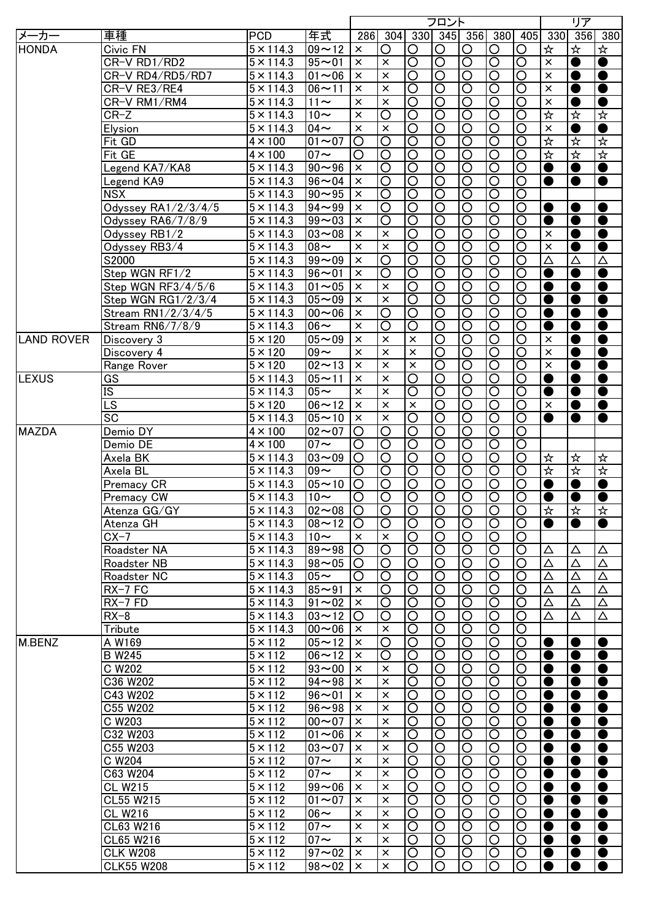|                   |                        |                             |                      |          |                         |                         | フロント                    |                         |                       |                         |                         | リア                         |           |
|-------------------|------------------------|-----------------------------|----------------------|----------|-------------------------|-------------------------|-------------------------|-------------------------|-----------------------|-------------------------|-------------------------|----------------------------|-----------|
| メーカー              | 車種                     | <b>PCD</b>                  | 年式                   | 286      | 304                     |                         | 330 345 356             |                         | 380 <sup> </sup>      | 405                     | 330                     | 356                        | 380       |
| HONDA             | Civic FN               | $5 \times 114.3$            | $09 - 12$            | $\times$ | O                       | O                       | O                       | O                       | $\circ$               | O                       | ☆                       | ☆                          | ☆         |
|                   | CR-V RD1/RD2           | $5 \times 114.3$            | $95 - 01$            | $\times$ | $\times$                | $\overline{\rm O}$      | $\overline{\rm O}$      | $\overline{\mathsf{O}}$ | $\overline{\circ}$    | $\overline{\circ}$      | $\times$                | $\bullet$                  | $\bullet$ |
|                   | CR-V RD4/RD5/RD7       | $5 \times 114.3$            | $01 - 06$            | $\times$ | $\times$                | $\overline{\rm O}$      | $\overline{\rm O}$      | $\overline{\mathsf{O}}$ | $\overline{\circ}$    | $\overline{\circ}$      | $\times$                | $\bullet$                  | $\bullet$ |
|                   | CR-V RE3/RE4           | $5 \times 114.3$            | $06 - 11$            | $\times$ | $\times$                | $\overline{\mathsf{O}}$ | $\overline{\circ}$      | $\overline{\mathsf{O}}$ | $\overline{\circ}$    | $\overline{\circ}$      | $\times$                | $\bullet$                  | $\bullet$ |
|                   | CR-V RM1/RM4           | $5 \times 114.3$            | $11 \sim$            | $\times$ | $\times$                | $\overline{\mathsf{O}}$ | $\overline{\mathsf{O}}$ | $\overline{\mathsf{O}}$ | $\overline{\circ}$    | $\overline{\circ}$      | $\times$                | $\bullet$                  | $\bullet$ |
|                   | $CR-Z$                 | $5 \times 114.3$            | $10\sim$             | $\times$ | $\overline{\rm O}$      | $\overline{\circ}$      | $\overline{\rm O}$      | $\overline{\rm O}$      | $\overline{\circ}$    | $\overline{\bigcirc}$   | 坏                       | $\frac{1}{\lambda}$        | ☆         |
|                   | Elysion                | $5 \times 114.3$            | $04 \sim$            | $\times$ | $\times$                | $\overline{\mathsf{O}}$ | $\overline{\mathsf{O}}$ | $\overline{\circ}$      | $\overline{\circ}$    | $\overline{\mathsf{O}}$ | $\overline{\mathbf{x}}$ | $\bullet$                  | $\bullet$ |
|                   | Fit GD                 | $4 \times 100$              | $\overline{01}$ ~ 07 | $\circ$  | $\overline{\rm O}$      | $\overline{\mathsf{O}}$ | $\overline{\mathsf{O}}$ | $\overline{\mathsf{O}}$ | $\overline{\circ}$    | ਠ                       | $\frac{1}{\lambda}$     | 卒                          | ☆         |
|                   | Fit GE                 | $4 \times 100$              | $07 \sim$            | $\circ$  | $\overline{\circ}$      | $\overline{\text{O}}$   | $\overline{\circ}$      | $\overline{\mathsf{O}}$ | $\overline{\circ}$    | $\overline{\mathsf{O}}$ | $\frac{1}{\lambda}$     | $\frac{1}{\lambda}$        | ☆         |
|                   | Legend KA7/KA8         | $5 \times 114.3$            | $90 - 96$            | $\times$ | $\overline{\circ}$      | $\overline{\text{O}}$   | $\overline{\circ}$      | $\overline{\mathsf{O}}$ | $\overline{\circ}$    | ਠ                       | $\bullet$               | $\bullet$                  | $\bullet$ |
|                   |                        | $5 \times 114.3$            | $96 - 04$            | $\times$ | $\overline{\mathsf{O}}$ | $\overline{\mathsf{O}}$ | $\overline{\circ}$      | $\overline{\mathsf{O}}$ | $\overline{\circ}$    | $\overline{\circ}$      | $\bullet$               | $\bullet$                  | $\bullet$ |
|                   | Legend KA9             |                             |                      |          |                         |                         |                         |                         |                       |                         |                         |                            |           |
|                   | <b>NSX</b>             | $5 \times 114.3$            | $90 - 95$            | $\times$ | $\overline{\circ}$      | $\overline{\circ}$      | $\overline{\circ}$      | $\overline{\circ}$      | $\overline{\circ}$    | $\overline{\circ}$      |                         |                            |           |
|                   | Odyssey RA1/2/3/4/5    | $5 \times 114.3$            | $94 - 99$            | $\times$ | $\overline{\circ}$      | $\overline{\circ}$      | $\overline{\rm O}$      | $\overline{\circ}$      | $\overline{\circ}$    | $\overline{O}$          | $\bullet$               | ●                          | $\bullet$ |
|                   | Odyssey RA6/7/8/9      | $\overline{5 \times}$ 114.3 | $99 - 03$            | $\times$ | $\overline{\rm O}$      | $\overline{\rm O}$      | $\overline{\rm O}$      | $\overline{\circ}$      | $\overline{\circ}$    | $\overline{\bigcirc}$   | $\bullet$               | $\bullet$                  | $\bullet$ |
|                   | Odyssey RB1/2          | $5 \times 114.3$            | $03 - 08$            | $\times$ | $\times$                | $\overline{\circ}$      | $\overline{\rm O}$      | $\overline{\bigcirc}$   | $\overline{\circ}$    | $\overline{\text{O}}$   | $\times$                | $\bullet$                  | $\bullet$ |
|                   | Odyssey RB3/4          | $5 \times 114.3$            | $08 -$               | $\times$ | $\times$                | $\overline{\circ}$      | $\overline{\rm O}$      | $\overline{\bigcirc}$   | $\overline{\circ}$    | $\overline{\text{O}}$   | $\times$                | $\bullet$                  | $\bullet$ |
|                   | S2000                  | $5 \times 114.3$            | $99 - 09$            | $\times$ | $\circ$                 | $\overline{\circ}$      | $\overline{\rm O}$      | $\overline{\bigcirc}$   | $\overline{O}$        | $\overline{\bigcirc}$   | Δ                       | Δ                          | Δ         |
|                   | Step WGN RF1/2         | $5 \times 114.3$            | $96 - 01$            | $\times$ | O                       | $\overline{\text{O}}$   | O                       | O                       | $\overline{O}$        | $\circ$                 | $\bullet$               | $\bullet$                  | $\bullet$ |
|                   | Step WGN RF3/4/5/6     | $5 \times 114.3$            | $01 - 05$            | $\times$ | $\times$                | $\overline{\rm O}$      | O                       | O                       | $\overline{O}$        | $\circ$                 | $\bullet$               | $\bullet$                  | $\bullet$ |
|                   | Step WGN RG1/2/3/4     | $5 \times 114.3$            | $05 - 09$            | $\times$ | $\times$                | $\overline{\rm O}$      | O                       | O                       | $\overline{O}$        | O                       | $\bullet$               | $\bullet$                  | $\bullet$ |
|                   | Stream RN1/2/3/4/5     | $5 \times 114.3$            | $00 - 06$            | $\times$ | O                       | $\overline{\rm O}$      | O                       | O                       | $\overline{O}$        | O                       | $\bullet$               | $\bullet$                  | $\bullet$ |
|                   | Stream RN6/7/8/9       | $5 \times 114.3$            | $06 \sim$            | $\times$ | O                       | O                       | O                       | O                       | $\circ$               | $\circ$                 | $\bullet$               | $\bullet$                  | $\bullet$ |
| <b>LAND ROVER</b> | Discovery 3            | $5 \times 120$              | $05 - 09$            | $\times$ | $\times$                | $\times$                | O                       | O                       | $\circ$               | O                       | $\times$                | $\bullet$                  | $\bullet$ |
|                   | Discovery 4            | $5 \times 120$              | $09 -$               | $\times$ | $\times$                | $\times$                | O                       | O                       | $\circ$               | O                       | $\times$                | $\bullet$                  | $\bullet$ |
|                   | Range Rover            | $5 \times 120$              | $02 - 13$            | $\times$ | $\times$                | $\times$                | O                       | O                       | $\circ$               | O                       | $\times$                | $\bullet$                  | $\bullet$ |
| <b>LEXUS</b>      | GS                     | $5 \times 114.3$            | $05 - 11$            | $\times$ | $\times$                | O                       | O                       | O                       | $\circ$               | O                       | $\bullet$               | $\bullet$                  | $\bullet$ |
|                   | $\overline{\text{IS}}$ | $5 \times 114.3$            | $05\sim$             | $\times$ | $\times$                | O                       | O                       | O                       | $\circ$               | O                       | $\bullet$               | $\bullet$                  | $\bullet$ |
|                   | $\overline{\text{LS}}$ | $5 \times 120$              | $06 - 12$            | $\times$ | $\times$                | $\times$                | O                       | O                       | $\circ$               | O                       | $\times$                | $\bullet$                  | $\bullet$ |
|                   | $\overline{SC}$        | $5 \times 114.3$            | $05 - 10$            | $\times$ | $\times$                | $\overline{\bigcirc}$   | O                       | O                       | $\circ$               | O                       | $\bullet$               | $\bullet$                  | $\bullet$ |
| <b>MAZDA</b>      | Demio DY               | $4 \times 100$              | $02 - 07$            | O        | O                       | O                       | O                       | O                       | $\circ$               | O                       |                         |                            |           |
|                   |                        | $4 \times 100$              | $07 \sim$            | O        | $\circ$                 | $\overline{\rm O}$      | O                       | O                       | $\overline{\circ}$    | $\circ$                 |                         |                            |           |
|                   | Demio DE               | $5 \times 114.3$            |                      |          |                         | $\overline{\rm O}$      |                         |                         | $\overline{\bigcirc}$ |                         |                         |                            |           |
|                   | Axela BK               |                             | $03 - 09$            | $\circ$  | $\circ$                 |                         | O                       | O                       |                       | $\circ$                 | ☆                       | $\frac{1}{\sqrt{2}}$       | ☆         |
|                   | Axela BL               | $5 \times 114.3$            | $09 -$               | O        | $\circ$                 | $\overline{\rm O}$      | O                       | O                       | $\overline{\bigcirc}$ | $\circ$                 | ₩                       | $\frac{1}{\sqrt{2}}$       | 坏         |
|                   | Premacy CR             | $5 \times 114.3$            | $05 - 10$            | $\circ$  | $\circ$                 | $\overline{\rm O}$      | O                       | O                       | $\overline{\bigcirc}$ | O                       | $\bullet$               | $\bullet$                  | $\bullet$ |
|                   | <b>Premacy CW</b>      | $5 \times 114.3$            | $10-$                | O        | $\overline{O}$          | $\overline{O}$          | $\overline{\rm O}$      | $\overline{\rm O}$      | $\overline{O}$        | $\circ$                 | $\bullet$               | $\bullet$                  | $\bullet$ |
|                   | Atenza GG/GY           | $5 \times 114.3$            | $102 \sim 08$ IO     |          | IO                      | IО                      | IО                      | IО                      | IO                    | IO                      | াম                      | $\boldsymbol{\breve{\pi}}$ | ∣≭        |
|                   | Atenza GH              | $5 \times 114.3$            | $08 - 12$            | O        | $\circ$                 | $\overline{\rm O}$      | $\overline{\bigcirc}$   | $\overline{\bigcirc}$   | $\overline{O}$        | $\overline{\bigcirc}$   | $\bullet$               | $\bullet$                  | $\bullet$ |
|                   | $CX-7$                 | $5 \times 114.3$            | $10\sim$             | $\times$ | $\times$                | $\circ$                 | O                       | O                       | $\circ$               | $\circ$                 |                         |                            |           |
|                   | Roadster NA            | $5 \times 114.3$            | $89 - 98$            | O        | O                       | $\overline{\bigcirc}$   | O                       | O                       | $\circ$               | $\circ$                 | Δ                       | Δ                          | Δ         |
|                   | Roadster NB            | $5 \times 114.3$            | $98 - 05$            | O        | O                       | $\overline{\rm O}$      | O                       | O                       | $\circ$               | $\circ$                 | Δ                       | Δ                          | Δ         |
|                   | Roadster NC            | $5 \times 114.3$            | $05\sim$             | O        | O                       | O                       | O                       | O                       | $\circ$               | $\circ$                 | Δ                       | Δ                          | Δ         |
|                   | RX-7 FC                | $5 \times 114.3$            | $85 - 91$            | $\times$ | O                       | O                       | O                       | O                       | $\circ$               | O                       | Δ                       | Δ                          | Δ         |
|                   | $RX-7 FD$              | $5 \times 114.3$            | $91 - 02$            | $\times$ | O                       | O                       | O                       | O                       | $\circ$               | O                       | Δ                       | Δ                          | Δ         |
|                   | $RX-8$                 | $5 \times 114.3$            | $03 - 12$            | O        | O                       | O                       | O                       | O                       | $\circ$               | O                       | Δ                       | Δ                          | Δ         |
|                   | Tribute                | $5 \times 114.3$            | $00 - 06$            | $\times$ | $\times$                | O                       | O                       | O                       | $\circ$               | $\circ$                 |                         |                            |           |
| M.BENZ            | A W169                 | $5 \times 112$              | $05 - 12$            | ×        | O                       | O                       | O                       | O                       | $\circ$               | $\circ$                 | $\bullet$               | $\bullet$                  | $\bullet$ |
|                   | <b>B</b> W245          | $5 \times 112$              | $06 - 12$            | $\times$ | O                       | O                       | O                       | O                       | $\circ$               | O                       | $\bullet$               | $\bullet$                  | $\bullet$ |
|                   | C W202                 | $5 \times 112$              | $93 - 00$            | ×        | ×                       | O                       | O                       | O                       | $\circ$               | $\circ$                 | O                       | $\bullet$                  | $\bullet$ |
|                   | C36 W202               | $5 \times 112$              | $94 - 98$            | ×        | $\times$                | $\overline{\rm O}$      | O                       | O                       | $\overline{\bigcirc}$ | $\circ$                 | 0                       | $\bullet$                  | $\bullet$ |
|                   | C43 W202               | $5 \times 112$              | $96 - 01$            | ×        | $\times$                | $\overline{\rm O}$      | O                       | O                       | $\overline{\bigcirc}$ | $\circ$                 | 0                       | $\bullet$                  | $\bullet$ |
|                   | C55 W202               | $5 \times 112$              | $96 - 98$            | ×        | $\times$                | O                       | O                       | O                       | $\overline{\bigcirc}$ | $\circ$                 | O                       | $\bullet$                  | $\bullet$ |
|                   | C W203                 | $5 \times 112$              | $00 - 07$            | ×        | $\times$                | O                       | O                       | O                       | $\overline{\bigcirc}$ | $\circ$                 | 0                       | $\bullet$                  | $\bullet$ |
|                   | C32 W203               | $5 \times 112$              | $01 - 06$            | $\times$ | $\times$                | O                       | O                       | O                       | $\circ$               | $\circ$                 | $\bullet$               | $\bullet$                  | $\bullet$ |
|                   |                        |                             | $\sqrt{03}$ ~ 07     |          |                         |                         |                         |                         |                       |                         |                         |                            |           |
|                   | C55 W203               | $5 \times 112$              |                      | $\times$ | $\times$                | $\overline{\rm O}$      | $\overline{\rm O}$      | $\overline{O}$          | $\overline{\circ}$    | $\circ$                 | $\bullet$               | $\bullet$                  | $\bullet$ |
|                   | C W204                 | $5 \times 112$              | $07 \sim$            | $\times$ | $\times$                | O                       | O                       | $\overline{O}$          | $\overline{\bigcirc}$ | $\circ$                 | $\bullet$               | $\bullet$                  | $\bullet$ |
|                   | C63 W204               | $5 \times 112$              | $07 \sim$            | $\times$ | $\times$                | $\overline{\rm O}$      | O                       | $\overline{O}$          | $\overline{\bigcirc}$ | $\circ$                 | 0                       | $\bullet$                  | $\bullet$ |
|                   | <b>CL W215</b>         | $5 \times 112$              | $99 - 06$            | $\times$ | $\times$                | $\overline{\rm O}$      | O                       | $\overline{O}$          | $\overline{\bigcirc}$ | $\circ$                 | $\bullet$               | $\bullet$                  | $\bullet$ |
|                   | CL55 W215              | $5 \times 112$              | $01 - 07$            | $\times$ | $\times$                | $\overline{\rm O}$      | O                       | $\overline{\bigcirc}$   | $\overline{O}$        | $\circ$                 | $\bullet$               | $\bullet$                  | $\bullet$ |
|                   | <b>CL W216</b>         | $5 \times 112$              | $06 \sim$            | $\times$ | $\times$                | $\circ$                 | O                       | $\circ$                 | $\circ$               | $\circ$                 | $\bullet$               | $\bullet$                  | $\bullet$ |
|                   | CL63 W216              | $5 \times 112$              | $07 \sim$            | $\times$ | $\times$                | $\circ$                 | O                       | O                       | $\circ$               | O                       | $\bullet$               | $\bullet$                  | $\bullet$ |
|                   | CL65 W216              | $5 \times 112$              | $07 \sim$            | $\times$ | $\times$                | $\circ$                 | O                       | O                       | $\circ$               | O                       | $\bullet$               | $\bullet$                  | $\bullet$ |
|                   | <b>CLK W208</b>        | $5 \times 112$              | $97 - 02$            | $\times$ | $\times$                | O                       | O                       | O                       | $\circ$               | O                       | $\bullet$               | $\bullet$                  | $\bullet$ |
|                   | <b>CLK55 W208</b>      | $5 \times 112$              | $98 - 02$            | $\times$ | $\times$                | O                       | O                       | O                       | $\circ$               | O                       | $\bullet$               | $\bullet$                  | $\bullet$ |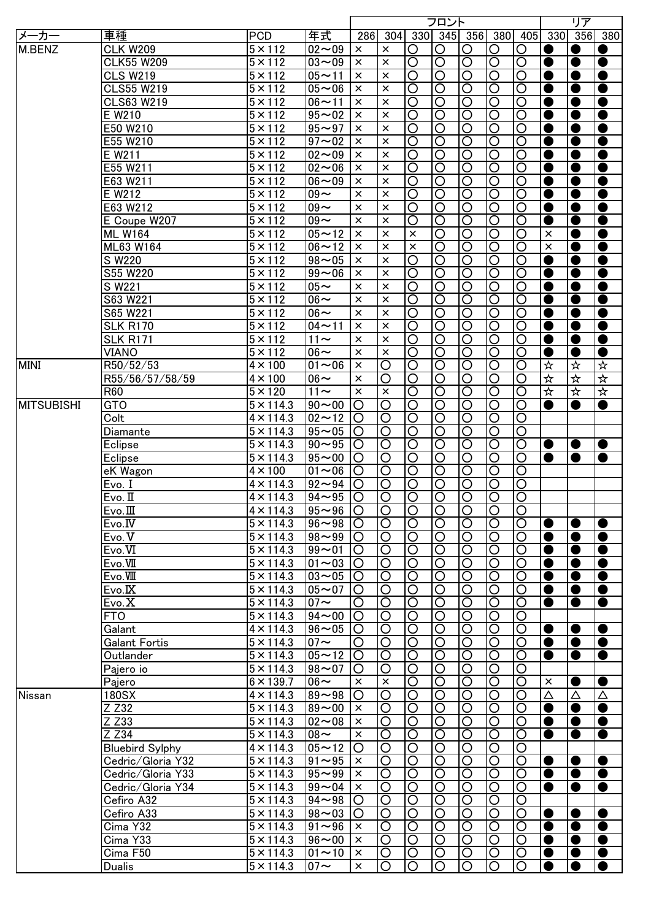|                   |                        |                        |                        |                      |                    |                                          | フロント                             |                              |                                          |                                                |           | リア        |                        |
|-------------------|------------------------|------------------------|------------------------|----------------------|--------------------|------------------------------------------|----------------------------------|------------------------------|------------------------------------------|------------------------------------------------|-----------|-----------|------------------------|
| メーカー              | 車種                     | <b>PCD</b>             | 年式                     | 286                  | 304                |                                          | 330 345 356                      |                              | 380                                      | 405                                            | 330       | 356       | 380                    |
| M.BENZ            | <b>CLK W209</b>        | $5 \times 112$         | $02 - 09$              | $\times$             | $\times$           | O                                        | O                                | O                            | O                                        | O                                              |           | $\bullet$ |                        |
|                   | <b>CLK55 W209</b>      | $5 \times 112$         | $03 - 09$              | $\times$             | $\times$           | $\overline{\circ}$                       | $\overline{\circ}$               | $\overline{\rm O}$           | $\overline{\circ}$                       | $\overline{\rm O}$                             | $\bullet$ | $\bullet$ | $\bullet$              |
|                   | <b>CLS W219</b>        | $5 \times 112$         | $05 - 11$              | $\times$             | $\times$           | $\overline{\rm O}$                       | $\overline{\circ}$               | $\overline{\rm O}$           | $\overline{\circ}$                       | $\overline{\rm O}$                             |           | $\bullet$ | $\bullet$              |
|                   | <b>CLS55 W219</b>      | $5 \times 112$         | $05 - 06$              | $\times$             | $\times$           | $\overline{\rm O}$                       | $\overline{\mathsf{O}}$          | $\overline{\rm O}$           | ੋ                                        | $\overline{\circ}$                             |           | $\bullet$ | $\bullet$              |
|                   | <b>CLS63 W219</b>      | $5 \times 112$         | $06 - 11$              | $\times$             | $\times$           | $\overline{\mathsf{O}}$                  | $\overline{\mathsf{O}}$          | $\overline{\mathsf{O}}$      | ੋ                                        | $\overline{\mathsf{O}}$                        |           | $\bullet$ | $\bullet$              |
|                   | E W210                 | $5 \times 112$         | $95 - 02$              | $\times$             | $\times$           | $\overline{\circ}$                       | $\overline{\bigcirc}$            | $\overline{\rm O}$           | $\overline{\circ}$                       | $\overline{\rm O}$                             |           | $\bullet$ | $\bullet$              |
|                   | E50 W210               | $5 \times 112$         | $95 - 97$              | $\times$             | $\times$           | $\overline{\mathsf{O}}$                  | $\overline{\mathsf{O}}$          | $\overline{\mathsf{O}}$      | $\overline{\mathsf{O}}$                  | $\overline{\circ}$                             | $\bullet$ | $\bullet$ | $\bullet$              |
|                   | E55 W210               | $5 \times 112$         | $97 - 02$              | $\times$             | $\times$           | $\overline{\mathsf{O}}$                  | $\overline{\circ}$               | $\overline{\mathsf{O}}$      | $\overline{\mathsf{O}}$                  | $\overline{\mathsf{O}}$                        | $\bullet$ | $\bullet$ | $\bullet$              |
|                   | E W211                 | $5 \times 112$         | $02 - 09$              | $\times$             | $\times$           | $\overline{\mathsf{O}}$                  | $\overline{\circ}$               | $\overline{\mathsf{O}}$      | $\overline{\mathsf{O}}$                  | $\overline{\mathsf{O}}$                        | $\bullet$ | $\bullet$ | $\bullet$              |
|                   | E55 W211               | $5 \times 112$         | $02 - 06$              | $\times$             | $\times$           | $\overline{\mathsf{O}}$                  | $\overline{\mathsf{O}}$          | $\overline{\mathsf{O}}$      | $\overline{\mathsf{O}}$                  | $\overline{\mathsf{O}}$                        | C         | $\bullet$ | $\bullet$              |
|                   | E63 W211               | $5 \times 112$         | $06 - 09$              | $\times$             | $\times$           | $\overline{\mathsf{O}}$                  | $\overline{\circ}$               | $\overline{\circ}$           | $\overline{\mathsf{O}}$                  | $\overline{\circ}$                             | $\bullet$ |           | $\bullet$              |
|                   |                        |                        |                        |                      |                    |                                          |                                  |                              |                                          |                                                |           | $\bullet$ |                        |
|                   | E W212                 | $5 \times 112$         | $09 -$                 | $\times$             | $\times$           | $\overline{\circ}$                       | $\overline{\circ}$               | $\overline{\circ}$           | $\overline{\circ}$                       | $\overline{\bigcirc}$                          | O         | ●         | $\bullet$              |
|                   | E63 W212               | $5 \times 112$         | $09 -$                 | ×                    | $\times$           | $\overline{\rm O}$                       | $\overline{\bigcirc}$            | ਠ                            | $\overline{\circ}$                       | $\overline{\rm O}$                             | C         | ●         | $\bullet$              |
|                   | E Coupe W207           | $5 \times 112$         | $09 -$                 | $\times$             | $\times$           | $\overline{\rm O}$                       | $\overline{\rm O}$               | $\overline{\rm O}$           | $\overline{O}$                           | $\overline{\rm O}$                             |           | ●         | $\bullet$              |
|                   | <b>ML W164</b>         | $5 \times 112$         | $05 - 12$              | $\times$             | $\times$           | $\times$                                 | $\overline{\rm O}$               | $\overline{\rm O}$           | $\overline{\circ}$                       | $\overline{\rm O}$                             | $\times$  | ●         | $\bullet$              |
|                   | ML63 W164              | $5 \times 112$         | $06 - 12$              | $\times$             | $\times$           | $\times$                                 | $\overline{\mathsf{O}}$          | $\overline{\rm O}$           | $\overline{\circ}$                       | $\overline{\rm O}$                             | $\times$  | ●         | $\bullet$              |
|                   | S W220                 | $5 \times 112$         | $98 - 05$              | $\times$             | $\times$           | O                                        | $\overline{\mathsf{O}}$          | $\overline{\rm O}$           | $\overline{\bigcirc}$                    | $\overline{\rm O}$                             | C         | ●         | $\bullet$              |
|                   | S55 W220               | $5 \times 112$         | $99 - 06$              | $\times$             | $\times$           | O                                        | O                                | $\circ$                      | $\overline{\rm O}$                       | $\circ$                                        | 0         | ●         | $\bullet$              |
|                   | $\overline{S}$ W221    | $5 \times 112$         | $05 -$                 | ×                    | $\times$           | O                                        | O                                | O                            | $\overline{O}$                           | O                                              | ●         | ●         | $\bullet$              |
|                   | S63 W221               | $5 \times 112$         | $06 -$                 | $\times$             | $\times$           | O                                        | O                                | $\circ$                      | $\overline{\rm O}$                       | O                                              | C         | ●         | $\bullet$              |
|                   | S65 W221               | $5 \times 112$         | $06 -$                 | ×                    | $\times$           | O                                        | O                                | $\overline{\rm O}$           | $\overline{\bigcirc}$                    | O                                              |           | $\bullet$ | $\bullet$              |
|                   | <b>SLK R170</b>        | $5 \times 112$         | $04 - 11$              | $\times$             | $\times$           | $\overline{\rm O}$                       | O                                | O                            | $\overline{\bigcirc}$                    | O                                              |           | ●         | $\bullet$              |
|                   | <b>SLK R171</b>        | $5 \times 112$         | $11 -$                 | $\times$             | $\times$           | O                                        | O                                | $\circ$                      | $\circ$                                  | O                                              | Œ         | ●         | $\bullet$              |
|                   | VIANO                  | $5 \times 112$         | $06 -$                 | $\times$             | $\times$           | O                                        | O                                | $\circ$                      | $\circ$                                  | O                                              |           |           | $\bullet$              |
| <b>MINI</b>       | R50/52/53              | $4 \times 100$         | $01 - 06$              | $\times$             | O                  | O                                        | O                                | $\circ$                      | $\circ$                                  | O                                              | ☆         | ☆         | ☆                      |
|                   | R55/56/57/58/59        | $4 \times 100$         | $\overline{06}$ ~      | $\times$             | O                  | O                                        | O                                | O                            | $\circ$                                  | O                                              | 坏         | ☆         | 坏                      |
|                   | R60                    | $5 \times 120$         | $11 \sim$              | $\times$             | $\times$           | O                                        | O                                | $\circ$                      | $\circ$                                  | O                                              | 坏         | ☆         | ☆                      |
| <b>MITSUBISHI</b> | GTO                    | $5 \times 114.3$       | $90 - 00$              | O                    | O                  | O                                        | O                                | O                            | $\circ$                                  | O                                              |           |           | $\bullet$              |
|                   | Colt                   | $4 \times 114.3$       | $02 - 12$              | O                    | O                  | O                                        | O                                | O                            | $\circ$                                  | O                                              |           |           |                        |
|                   | Diamante               | $5 \times 114.3$       | $95 - 05$              | O                    | O                  | O                                        | O                                | O                            | $\circ$                                  | O                                              |           |           |                        |
|                   | Eclipse                | $5 \times 114.3$       | $90 - 95$              | O                    | O                  | $\overline{\rm O}$                       | O                                | O                            | $\overline{\mathsf{O}}$                  | O                                              |           |           |                        |
|                   |                        | $5 \times 114.3$       | $95 - 00$              |                      |                    | $\overline{\bigcirc}$                    | O                                | O                            | $\overline{\bigcirc}$                    |                                                | $\bullet$ | $\bullet$ | $\bullet$<br>$\bullet$ |
|                   | Eclipse                |                        |                        | O                    | O                  |                                          |                                  |                              |                                          | O                                              | $\bullet$ | ●         |                        |
|                   | eK Wagon               | $4 \times 100$         | $01 - 06$              | O                    | O                  | $\overline{\bigcirc}$                    | $\circ$                          | O                            | $\overline{\bigcirc}$                    | O                                              |           |           |                        |
|                   | Evo. I                 | $4 \times 114.3$       | $92 - 94$              | O                    | O                  | $\overline{\rm O}$                       | O                                | O                            | $\overline{\rm O}$                       | O                                              |           |           |                        |
|                   | Evo. II                | $4 \times 114.3$       | $94 - 95$              | O                    | O                  | O                                        | O                                | O                            | $\overline{\text{O}}$                    | $\overline{\rm O}$                             |           |           |                        |
|                   | Evo.                   | $4 \times 114.3$       | $ 95 \sim 96 $         |                      | O                  | ΙO                                       | IO                               | $\circ$                      | O                                        | O                                              |           |           |                        |
|                   | Evo.IV                 | $5 \times 114.3$       | $96 - 98$              | $\circ$              | O                  | $\overline{O}$                           | O                                | $\overline{\bigcirc}$        | $\overline{\circ}$                       | $\overline{O}$                                 | $\bullet$ | $\bullet$ | ●                      |
|                   | Evo. V                 | $5 \times 114.3$       | $98 - 99$ O            |                      | O                  | $\circ$                                  | $\circ$                          | O                            | $\circ$                                  | $\circ$                                        | $\bullet$ | $\bullet$ | ●                      |
|                   | Evo.VI                 | $5 \times 114.3$       | $99 - 01$              | O                    | O                  | $\circ$                                  | $\circ$                          | O                            | $\overline{O}$                           | $\circ$                                        | $\bullet$ | $\bullet$ | $\bullet$              |
|                   | Evo.VII                | $5 \times 114.3$       | $01 - 03$              | $\circ$              | O                  | $\overline{O}$                           | $\circ$                          | $\circ$                      | $\overline{\bigcirc}$                    | $\circ$                                        | $\bullet$ | $\bullet$ | $\bullet$              |
|                   | Evo.VIII               | $5 \times 114.3$       | $03 - 05$              | $\circ$              | O                  | $\circ$                                  | $\circ$                          | O                            | $\circ$                                  | $\circ$                                        | $\bullet$ | $\bullet$ | $\bullet$              |
|                   | Evo.IX                 | $5 \times 114.3$       | $05 - 07$              | O                    | O                  | $\circ$                                  | $\circ$                          | O                            | $\circ$                                  | $\circ$                                        | $\bullet$ | $\bullet$ | $\bullet$              |
|                   | Evo.X                  | $5 \times 114.3$       | $07 \sim$              | O                    | O                  | $\overline{\bigcirc}$                    | $\circ$                          | O                            | $\overline{\rm O}$                       | $\circ$                                        | $\bullet$ | $\bullet$ | $\bullet$              |
|                   | <b>FTO</b>             | $5 \times 114.3$       | $94 - 00$              | O                    | O                  | $\overline{\bigcirc}$                    | $\circ$                          | O                            | $\overline{\bigcirc}$                    | $\circ$                                        |           |           |                        |
|                   | Galant                 | $4 \times 114.3$       | $96 - 05$              | O                    | O                  | $\circ$                                  | $\circ$                          | O                            | $\overline{O}$                           | $\circ$                                        | $\bullet$ | $\bullet$ | $\bullet$              |
|                   | Galant Fortis          | $5 \times 114.3$       | $07 \sim$              | O                    | O                  | $\circ$                                  | $\circ$                          | $\circ$                      | $\overline{\bigcirc}$                    | $\circ$                                        | $\bullet$ | $\bullet$ | $\bullet$              |
|                   | Outlander              | $5 \times 114.3$       | $05 - 12$              | $\circ$              | O                  | $\circ$                                  | $\circ$                          | $\circ$                      | $\overline{\rm O}$                       | O                                              | $\bullet$ | $\bullet$ | $\bullet$              |
|                   | Pajero io              | $5 \times 114.3$       | $98 - 07$              | O                    | O                  | $\circ$                                  | $\circ$                          | $\circ$                      | $\overline{\bigcirc}$                    | $\circ$                                        |           |           |                        |
|                   | Pajero                 | $6 \times 139.7$       | $\overline{06}$ ~      | $\times$             | $\times$           | $\overline{\bigcirc}$                    | $\overline{\text{O}}$            | $\overline{\rm O}$           | $\overline{\circ}$                       | $\overline{\rm O}$                             | $\times$  | $\bullet$ | $\bullet$              |
| Nissan            | 180SX                  | $4 \times 114.3$       | $89 - 98$              | O                    | O                  | $\overline{\bigcirc}$                    | $\overline{\text{O}}$            | $\overline{\rm O}$           | $\overline{\circ}$                       | $\overline{\rm O}$                             | Δ         | Δ         | Δ                      |
|                   | Z Z32                  | $5 \times 114.3$       | $89 - 00$              | $\times$             | O                  | $\overline{\bigcirc}$                    | $\overline{\text{O}}$            | $\overline{\rm O}$           | $\overline{\circ}$                       | $\overline{\rm O}$                             | $\bullet$ | $\bullet$ | $\bullet$              |
|                   | Z Z33                  | $5 \times 114.3$       | $02 - 08$              | $\times$             | O                  | $\overline{O}$                           | $\circ$                          | $\overline{\rm O}$           | $\overline{\circ}$                       | $\overline{\text{O}}$                          | $\bullet$ | $\bullet$ | $\bullet$              |
|                   | Z Z34                  | $5 \times 114.3$       | $08 -$                 | $\times$             | O                  | $\overline{O}$                           | $\circ$                          | $\circ$                      | $\overline{\circ}$                       | $\circ$                                        | $\bullet$ | $\bullet$ | $\bullet$              |
|                   | <b>Bluebird Sylphy</b> | $\sqrt{4}$ × 114.3     | $05 - 12$              | O                    | $\overline{\rm O}$ | $\overline{\circ}$                       | $\overline{O}$                   | $\overline{\mathsf{O}}$      | $\overline{\circ}$                       | $\overline{\text{O}}$                          |           |           |                        |
|                   |                        |                        |                        |                      |                    |                                          |                                  |                              |                                          |                                                |           |           |                        |
|                   | Cedric/Gloria Y32      | $5 \times 114.3$       | $91 - 95$<br>$95 - 99$ | $\times$<br>$\times$ | O                  | $\overline{\circ}$<br>$\overline{\circ}$ | $\overline{O}$<br>$\overline{O}$ | ੋ<br>$\overline{\mathsf{O}}$ | $\overline{\circ}$<br>$\overline{\circ}$ | $\overline{\text{O}}$<br>$\overline{\text{O}}$ | $\bullet$ | $\bullet$ | $\bullet$              |
|                   | Cedric/Gloria Y33      | $5 \times 114.3$       |                        |                      | O                  |                                          |                                  |                              |                                          |                                                | $\bullet$ | $\bullet$ | $\bullet$              |
|                   | Cedric/Gloria Y34      | $5 \times 114.3$       | $99 - 04$              | $\pmb{\times}$       | O                  | $\overline{O}$                           | $\overline{O}$                   | $\overline{\rm O}$           | $\overline{\circ}$                       | $\overline{\text{O}}$                          | $\bullet$ | $\bullet$ | $\bullet$              |
|                   | Cefiro A32             | $5 \times 114.3$       | $94 - 98$              | O                    | $\circ$            | $\overline{O}$                           | $\overline{O}$                   | ੋ                            | $\overline{\circ}$                       | $\overline{\text{O}}$                          |           |           |                        |
|                   | Cefiro A33             | $5 \times 114.3$       | $98 - 03$              | O                    | $\circ$            | $\overline{O}$                           | $\circ$                          | $\circ$                      | $\overline{O}$                           | $\circ$                                        | $\bullet$ | $\bullet$ | $\bullet$              |
|                   | Cima Y32               | $5 \times 114.3$       | $91 - 96$              | $\times$             | O                  | $\overline{O}$                           | $\circ$                          | O                            | $\overline{O}$                           | $\circ$                                        | $\bullet$ | $\bullet$ | $\bullet$              |
|                   | Cima Y33               | $\overline{5}$ × 114.3 | $96 - 00$              | $\times$             | O                  | $\circ$                                  | $\circ$                          | O                            | $\circ$                                  | $\circ$                                        | $\bullet$ | $\bullet$ | $\bullet$              |
|                   | Cima F50               | $5 \times 114.3$       | $01 - 10$              | $\times$             | O                  | $\circ$                                  | O                                | O                            | $\circ$                                  | O                                              | $\bullet$ | $\bullet$ | $\bullet$              |
|                   | <b>Dualis</b>          | $5 \times 114.3$       | $07 \sim$              | $\times$             | O                  | $\circ$                                  | $\circ$                          | O                            | $\circ$                                  | O                                              | $\bullet$ | $\bullet$ | $\bullet$              |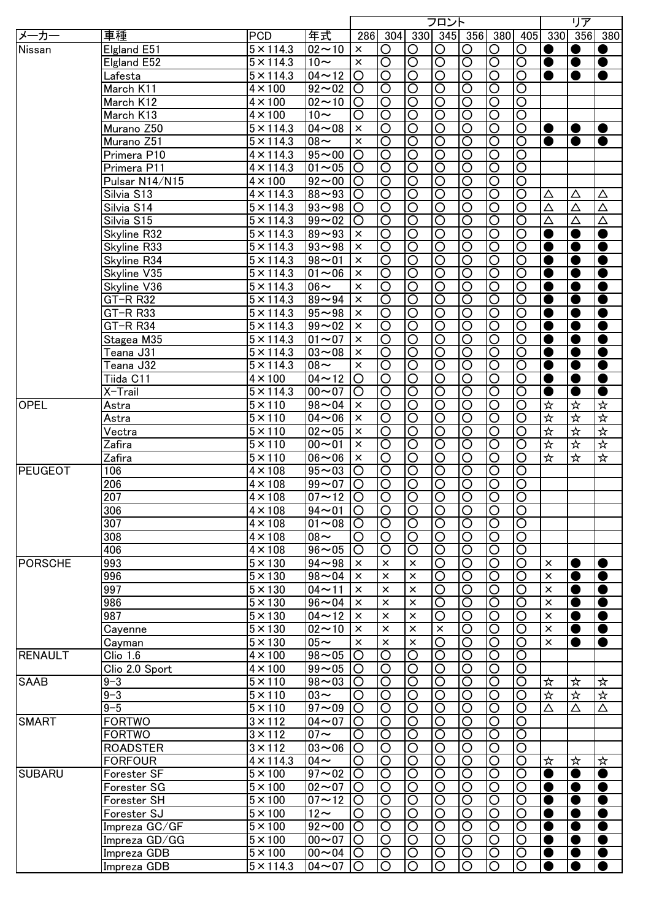|                |                 |                      |                     |                       |                         |                       | フロント                  |                         |                       |                       |             | リア          |                                 |
|----------------|-----------------|----------------------|---------------------|-----------------------|-------------------------|-----------------------|-----------------------|-------------------------|-----------------------|-----------------------|-------------|-------------|---------------------------------|
| メーカー           | 車種              | <b>PCD</b>           | 年式                  |                       | 286 304                 |                       |                       |                         | 330 345 356 380       | 405                   |             | 330 356 380 |                                 |
| Nissan         | Elgland E51     | $5 \times 114.3$     | $02 - 10$           | $\times$              | O                       | O                     | O                     | O                       | O                     | O                     | O           | $\bullet$   |                                 |
|                | Elgland E52     | $5 \times 114.3$     | $10-$               | $\times$              | $\overline{\rm O}$      | $\overline{\text{O}}$ | $\overline{\text{O}}$ | $\overline{\mathsf{O}}$ | $\overline{\rm O}$    | $\overline{\rm O}$    | $\bullet$   | $\bullet$   | $\bullet$                       |
|                | Lafesta         | $5 \times 114.3$     | $04 - 12$           | $\circ$               | O                       | $\overline{\text{O}}$ | $\overline{\rm O}$    | $\overline{\rm O}$      | $\overline{\text{O}}$ | $\circ$               | ●           | $\bullet$   | $\bullet$                       |
|                |                 | $4 \times 100$       | $92 - 02$           | O                     | O                       | $\overline{\circ}$    | $\overline{\text{O}}$ | $\overline{\rm O}$      | $\overline{\circ}$    | $\overline{\rm O}$    |             |             |                                 |
|                | March K11       |                      |                     |                       |                         |                       |                       |                         |                       |                       |             |             |                                 |
|                | March K12       | $4 \times 100$       | $02 - 10$           | $\circ$               | O                       | $\overline{\circ}$    | $\overline{\text{O}}$ | ਠ                       | $\overline{\circ}$    | $\overline{\text{O}}$ |             |             |                                 |
|                | March K13       | $4 \times 100$       | $10\sim$            | O                     | $\bigcirc$              | $\overline{O}$        | $\circ$               | $\overline{\rm O}$      | $\overline{\circ}$    | $\overline{\bigcirc}$ |             |             |                                 |
|                | Murano Z50      | $5 \times 114.3$     | $04 - 08$           | $\pmb{\times}$        | $\overline{\circ}$      | $\overline{\circ}$    | $\overline{\circ}$    | $\overline{\mathsf{O}}$ | $\overline{\circ}$    | $\overline{\circ}$    | $\bullet$   | $\bullet$   | $\bullet$                       |
|                | Murano Z51      | $5 \times 114.3$     | $\frac{8}{2}$       | $\pmb{\times}$        | $\overline{\mathsf{O}}$ | $\overline{\circ}$    | $\overline{\circ}$    | $\overline{\mathsf{O}}$ | $\overline{\circ}$    | $\overline{\text{O}}$ | $\bullet$   | $\bullet$   | $\bullet$                       |
|                | Primera P10     | $4 \times 114.3$     | $95 - 00$           | $\overline{\text{O}}$ | $\overline{\mathsf{O}}$ | $\overline{\circ}$    | $\overline{\circ}$    | $\overline{\mathsf{O}}$ | $\overline{\circ}$    | $\overline{\circ}$    |             |             |                                 |
|                | Primera P11     | $4 \times 114.3$     | $01 - 05$           | O                     | $\overline{\mathsf{O}}$ | $\overline{\circ}$    | $\overline{\circ}$    | $\overline{\mathsf{O}}$ | $\overline{\circ}$    | $\overline{\circ}$    |             |             |                                 |
|                | Pulsar N14/N15  | $4 \times 100$       | $92 - 00$           | lO                    | $\overline{\mathsf{O}}$ | $\overline{\circ}$    | $\overline{\circ}$    | $\overline{\mathsf{O}}$ | $\overline{\circ}$    | $\overline{\circ}$    |             |             |                                 |
|                |                 |                      |                     |                       |                         |                       |                       |                         |                       |                       |             |             |                                 |
|                | Silvia S13      | $4 \times 114.3$     | $88 - 93$           | $\overline{O}$        | $\overline{\rm O}$      | $\overline{O}$        | $\overline{O}$        | $\overline{\circ}$      | $\overline{\circ}$    | $\overline{\bigcirc}$ | $\triangle$ | Δ           | Δ                               |
|                | Silvia S14      | $5 \times 114.3$     | $93 - 98$           | IО                    | $\circ$                 | $\overline{O}$        | $\circ$               | $\overline{\bigcirc}$   | $\overline{\circ}$    | $\overline{\text{O}}$ | $\Delta$    | Δ           | Δ                               |
|                | Silvia S15      | $5 \times 114.3$     | $99 - 02$           | O                     | $\circ$                 | $\overline{O}$        | O                     | ੋ                       | $\overline{O}$        | O                     | $\Delta$    | Δ           | Δ                               |
|                | Skyline R32     | $5 \times 114.3$     | $89 - 93$           | $\times$              | O                       | $\overline{O}$        | $\circ$               | $\overline{\text{O}}$   | $\overline{\circ}$    | $\circ$               | $\bullet$   | $\bullet$   | $\bullet$                       |
|                | Skyline R33     | $5 \times 114.3$     | $93 - 98$           | $\times$              | $\circ$                 | $\overline{O}$        | $\circ$               | $\overline{\text{O}}$   | $\overline{\circ}$    | O                     | $\bullet$   | $\bullet$   | $\bullet$                       |
|                | Skyline R34     | $5 \times 114.3$     | $98 - 01$           | $\times$              | $\circ$                 | $\overline{O}$        | O                     | $\circ$                 | $\overline{O}$        | O                     | $\bullet$   | $\bullet$   | $\bullet$                       |
|                | Skyline V35     | $5 \times 114.3$     | $01 - 06$           | $\times$              | O                       | $\circ$               | O                     | $\circ$                 | $\overline{O}$        | O                     | $\bullet$   | $\bullet$   | $\bullet$                       |
|                | Skyline V36     | $5 \times 114.3$     | $06 \sim$           | $\times$              | O                       | $\overline{O}$        | O                     | $\circ$                 | $\overline{O}$        | O                     | $\bullet$   | $\bullet$   | $\bullet$                       |
|                |                 |                      |                     |                       |                         |                       |                       |                         |                       |                       |             |             |                                 |
|                | GT-R R32        | $5 \times 114.3$     | $89 - 94$           | $\times$              | O                       | $\overline{O}$        | O                     | O                       | $\overline{O}$        | O                     | $\bullet$   | $\bullet$   | $\bullet$                       |
|                | $GT-R$ R33      | $5 \times 114.3$     | $95 - 98$           | $\times$              | O                       | $\overline{O}$        | O                     | O                       | $\overline{O}$        | O                     | $\bullet$   | $\bullet$   | $\bullet$                       |
|                | GT-R R34        | $5 \times 114.3$     | $99 - 02$           | $\times$              | O                       | $\circ$               | O                     | O                       | $\circ$               | O                     | $\bullet$   | $\bullet$   | $\bullet$                       |
|                | Stagea M35      | $5 \times 114.3$     | $01 - 07$           | $\times$              | O                       | $\circ$               | O                     | $\circ$                 | $\circ$               | O                     | ●           | $\bullet$   | $\bullet$                       |
|                | Teana J31       | $5 \times 114.3$     | $03 - 08$           | $\times$              | O                       | $\circ$               | O                     | O                       | $\circ$               | O                     | ●           | $\bullet$   | $\bullet$                       |
|                | Teana J32       | $5 \times 114.3$     | $08 -$              | $\times$              | O                       | $\circ$               | O                     | O                       | $\circ$               | O                     | ●           | $\bullet$   | $\bullet$                       |
|                | Tiida C11       | $4 \times 100$       | $04 - 12$           | O                     | O                       | $\circ$               | O                     | O                       | $\circ$               | O                     | $\bullet$   | $\bullet$   | $\bullet$                       |
|                | X-Trail         | $5 \times 114.3$     | $00 - 07$           | O                     | O                       | $\circ$               | O                     | O                       | $\circ$               | O                     | ●           | $\bullet$   | $\bullet$                       |
| <b>OPEL</b>    |                 | $5 \times 110$       | $98 - 04$           | $\times$              |                         |                       |                       |                         | $\circ$               |                       | ☆           | ☆           | ☆                               |
|                | Astra           |                      |                     |                       | O                       | $\circ$               | O                     | O                       |                       | O                     |             |             |                                 |
|                | Astra           | $5 \times 110$       | $04 - 06$           | $\times$              | O                       | O                     | O                     | O                       | $\circ$               | O                     | ☆           | ☆           | ☆                               |
|                | Vectra          | $5 \times 110$       | $02 - 05$           | $\pmb{\times}$        | O                       | O                     | O                     | O                       | $\circ$               | O                     | ☆           | ☆           | 坏                               |
|                | Zafira          | $5 \times 110$       | $00 - 01$           | $\times$              | O                       | $\overline{O}$        | O                     | O                       | $\overline{\bigcirc}$ | O                     | 卒           | 岑           | $\frac{1}{\sqrt{2}}$            |
|                | Zafira          | $5 \times 110$       | $06 - 06$           | $\pmb{\times}$        | O                       | $\circ$               | O                     | O                       | $\circ$               | O                     | ☆           | ☆           | $\frac{\cancel{1}}{\cancel{1}}$ |
| PEUGEOT        | 106             | $4 \times 108$       | $95 - 03$           | O                     | O                       | $\circ$               | O                     | O                       | $\overline{O}$        | O                     |             |             |                                 |
|                | 206             | $4 \times 108$       | $99 - 07$           | O                     | O                       | $\circ$               | O                     | O                       | $\circ$               | O                     |             |             |                                 |
|                | 207             | $4 \times 108$       | $07 - 12$ O         |                       | O                       | $\circ$               | O                     | $\circ$                 | $\overline{O}$        | $\bigcirc$            |             |             |                                 |
|                |                 |                      |                     |                       |                         |                       |                       |                         |                       |                       |             |             |                                 |
|                | 306             | $4 \times 108$       | $ 94 \sim 01$       | IO                    | IО                      | IO                    | IО                    | IO                      | IO                    | IО                    |             |             |                                 |
|                | 307             | $4 \times 108$       | $01 - 08$           | O                     | $\circ$                 | $\overline{O}$        | $\overline{\bigcirc}$ | $\overline{\bigcirc}$   | $\overline{O}$        | $\overline{\circ}$    |             |             |                                 |
|                | 308             | $4 \times 108$       | $08 -$              | O                     | O                       | $\circ$               | O                     | O                       | $\circ$               | $\circ$               |             |             |                                 |
|                | 406             | $4 \times 108$       | $96 - 05$           | O                     | O                       | O                     | O                     | O                       | $\overline{\bigcirc}$ | $\overline{\rm O}$    |             |             |                                 |
| <b>PORSCHE</b> | 993             | $5 \times 130$       | $94 - 98$           | $\times$              | $\times$                | $\pmb{\times}$        | O                     | O                       | $\overline{\rm O}$    | $\overline{\rm O}$    | $\times$    | $\bullet$   | ●                               |
|                | 996             | $5 \times 130$       | $98 - 04$           | $\times$              | $\times$                | $\times$              | O                     | O                       | $\circ$               | O                     | $\times$    | $\bullet$   | $\bullet$                       |
|                | 997             | $5 \times 130$       | $04 - 11$           | ×                     | $\times$                | $\times$              | O                     | O                       | $\circ$               | O                     | $\times$    | $\bullet$   | $\bullet$                       |
|                | 986             | $5 \times 130$       | $96 - 04$           | $\times$              | $\times$                | $\times$              | O                     | O                       | $\overline{\rm O}$    | O                     | $\times$    | $\bullet$   | $\bullet$                       |
|                | 987             | $5 \times 130$       | $04 - 12$           | ×                     | $\times$                | $\times$              | O                     | O                       | $\overline{\rm O}$    | O                     | $\times$    | $\bullet$   | $\bullet$                       |
|                |                 |                      |                     |                       |                         |                       |                       |                         |                       |                       |             |             |                                 |
|                | Cayenne         | $5 \times 130$       | $02 - 10$           | $\times$              | $\times$                | $\pmb{\times}$        | $\times$              | O                       | $\overline{\rm O}$    | O                     | $\times$    | $\bullet$   | $\bullet$                       |
|                | Cayman          | $5 \times 130$       | $05 -$              | $\times$              | $\times$                | $\times$              | O                     | O                       | $\overline{\rm O}$    | O                     | $\times$    | $\bullet$   | $\bullet$                       |
| <b>RENAULT</b> | Clio 1.6        | $4 \times 100$       | $98 - 05$           | O                     | O                       | O                     | O                     | O                       | $\circ$               | O                     |             |             |                                 |
|                | Clio 2.0 Sport  | $4 \times 100$       | $99 - 05$           | O                     | O                       | O                     | O                     | O                       | $\overline{\bigcirc}$ | O                     |             |             |                                 |
| <b>SAAB</b>    | $9 - 3$         | $5 \times 110$       | $98 - 03$           | O                     | O                       | $\overline{\rm O}$    | $\circ$               | O                       | $\overline{\rm O}$    | O                     | ☆           | ☆           | ☆                               |
|                | $9 - 3$         | $5 \times 110$       | $03\sim$            | O                     | O                       | $\overline{\bigcirc}$ | $\circ$               | $\overline{\rm O}$      | $\overline{\rm O}$    | $\overline{\rm O}$    | ☆           | 坏           | ☆                               |
|                | $9 - 5$         | $5 \times 110$       | $\frac{1}{97}$ ~ 09 | O                     | O                       | $\overline{\bigcirc}$ | $\circ$               | $\overline{\rm O}$      | $\overline{\rm O}$    | $\overline{\rm O}$    | Δ           | Δ           | Δ                               |
| <b>SMART</b>   | <b>FORTWO</b>   | $3 \times 112$       | $04 - 07$           | O                     | O                       | $\overline{\bigcirc}$ | $\circ$               | $\overline{\rm O}$      | $\overline{\rm O}$    | $\overline{\rm O}$    |             |             |                                 |
|                |                 |                      |                     |                       |                         |                       |                       |                         |                       |                       |             |             |                                 |
|                | <b>FORTWO</b>   | $3 \times 112$       | $07 \sim$           | O                     | O                       | $\circ$               | $\circ$               | O                       | $\overline{O}$        | $\bigcirc$            |             |             |                                 |
|                | <b>ROADSTER</b> | $\overline{3}$ × 112 | $03 - 06$           | O                     | $\overline{\rm O}$      | $\overline{\circ}$    | $\overline{\bigcirc}$ | $\overline{\mathsf{O}}$ | $\overline{\circ}$    | $\overline{\rm O}$    |             |             |                                 |
|                | <b>FORFOUR</b>  | $4 \times 114.3$     | $04 \sim$           | O                     | $\overline{\rm O}$      | $\overline{\circ}$    | $\overline{\bigcirc}$ | $\overline{\rm O}$      | $\overline{\circ}$    | $\overline{\rm O}$    | ☆           | ☆           | ☆                               |
| <b>SUBARU</b>  | Forester SF     | $5 \times 100$       | $97 - 02$           | O                     | $\overline{\rm O}$      | $\overline{\circ}$    | $\overline{\rm O}$    | $\overline{\mathsf{O}}$ | $\overline{\circ}$    | $\overline{\rm O}$    | $\bullet$   | $\bullet$   | $\bullet$                       |
|                | Forester SG     | $5 \times 100$       | $02 - 07$           | O                     | $\circ$                 | $\overline{\circ}$    | $\overline{\rm O}$    | $\overline{\mathsf{O}}$ | $\overline{\circ}$    | $\overline{\rm O}$    | $\bullet$   | $\bullet$   | $\bullet$                       |
|                | Forester SH     | $5 \times 100$       | $07 - 12$           | O                     | $\circ$                 | $\overline{\circ}$    | $\overline{\bigcirc}$ | $\overline{O}$          | $\overline{\circ}$    | O                     | $\bullet$   | $\bullet$   | $\bullet$                       |
|                | Forester SJ     | $5 \times 100$       | $12-$               | O                     | $\circ$                 | $\overline{O}$        | $\circ$               | $\circ$                 | $\overline{O}$        | O                     | $\bullet$   | $\bullet$   | $\bullet$                       |
|                |                 | $5 \times 100$       | $92 - 00$           | O                     | O                       | $\overline{O}$        | $\circ$               | O                       | $\overline{O}$        | O                     |             |             | $\bullet$                       |
|                | Impreza GC/GF   |                      |                     |                       |                         |                       |                       |                         |                       |                       | $\bullet$   | $\bullet$   |                                 |
|                | Impreza GD/GG   | $5 \times 100$       | $00 - 07$           | O                     | O                       | $\circ$               | O                     | O                       | $\circ$               | O                     | O           | $\bullet$   | $\bullet$                       |
|                | Impreza GDB     | $5 \times 100$       | $00 \sim 04$        | $\circ$               | O                       | $\circ$               | O                     | O                       | $\circ$               | O                     | C           | $\bullet$   | $\bullet$                       |
|                | Impreza GDB     | $5 \times 114.3$     | $04 - 07$           | O                     | O                       | $\circ$               | O                     | O                       | $\circ$               | O                     | $\bullet$   | $\bullet$   | $\bullet$                       |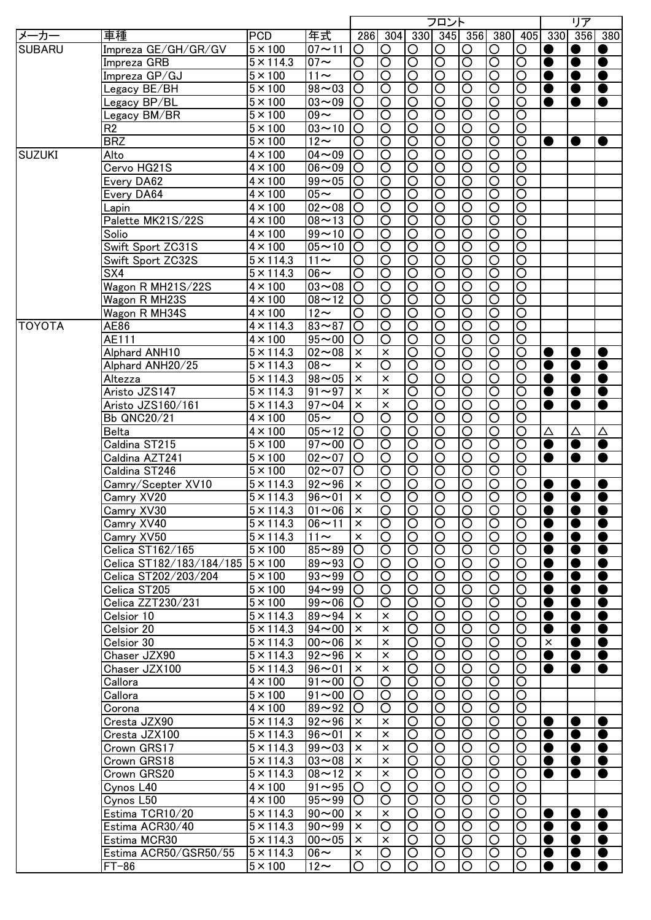|               |                                   |                      |                          |                       |                       |                       | フロント                    |                         |                       |                         |           | リア        |           |
|---------------|-----------------------------------|----------------------|--------------------------|-----------------------|-----------------------|-----------------------|-------------------------|-------------------------|-----------------------|-------------------------|-----------|-----------|-----------|
| メーカー          | 車種                                | <b>PCD</b>           | 年式                       |                       | 286 304               |                       | 330 345 356             |                         | 380                   | 405                     | 330       | 356       | 380       |
| <b>SUBARU</b> | Impreza GE/GH/GR/GV               | $5 \times 100$       | $07 - 11$                | O                     | O                     | O                     | O                       | O                       | O                     | O                       | c         | $\bullet$ |           |
|               | Impreza GRB                       | $5 \times 114.3$     | $07 \sim$                | $\overline{\rm O}$    | $\overline{\bigcirc}$ | $\overline{\circ}$    | $\overline{\circ}$      | $\overline{\mathsf{O}}$ | $\overline{\circ}$    | $\overline{\rm O}$      | $\bullet$ | $\bullet$ | $\bullet$ |
|               | Impreza GP/GJ                     | $5 \times 100$       | $11 \sim$                | $\overline{\rm O}$    | $\overline{\bigcirc}$ | $\overline{\circ}$    | $\overline{\mathsf{O}}$ | $\overline{\rm O}$      | $\overline{\circ}$    | $\overline{\text{O}}$   | $\bullet$ | $\bullet$ | $\bullet$ |
|               | Legacy BE/BH                      | $5 \times 100$       | $98 - 03$                | $\overline{\bigcirc}$ | $\overline{\bigcirc}$ | $\overline{\circ}$    | $\overline{\mathsf{O}}$ | $\overline{\rm O}$      | $\overline{\circ}$    | $\overline{\text{O}}$   | $\bullet$ | $\bullet$ | $\bullet$ |
|               | Legacy BP/BL                      | $5 \times 100$       | $03 - 09$                | $\overline{\rm O}$    | $\overline{\bigcirc}$ | $\overline{\circ}$    | $\overline{\mathsf{O}}$ | $\overline{\mathsf{O}}$ | $\overline{\circ}$    | $\overline{\text{O}}$   | $\bullet$ | $\bullet$ | $\bullet$ |
|               | Legacy BM/BR                      | $5 \times 100$       | $09 -$                   | $\circ$               | $\overline{O}$        | $\overline{\circ}$    | $\overline{\circ}$      | $\overline{\text{O}}$   | $\overline{\circ}$    | $\overline{\bigcirc}$   |           |           |           |
|               | R <sub>2</sub>                    | $\overline{5}$ × 100 | $03 - 10$                | $\overline{\circ}$    | $\overline{\circ}$    | $\overline{\circ}$    | $\overline{\text{O}}$   | $\overline{\text{O}}$   | $\overline{\circ}$    | ਠ                       |           |           |           |
|               | <b>BRZ</b>                        | $\overline{5}$ × 100 | $12\sim$                 | $\overline{\circ}$    | $\overline{\circ}$    | $\overline{\circ}$    | $\overline{\circ}$      | $\overline{\circ}$      | $\overline{\circ}$    | $\overline{\mathsf{O}}$ | $\bullet$ | $\bullet$ |           |
| <b>SUZUKI</b> | Alto                              | $4 \times 100$       | $04 - 09$                | $\overline{\circ}$    | $\overline{\circ}$    | $\overline{\circ}$    | $\overline{\circ}$      | $\overline{\text{O}}$   | $\overline{\circ}$    | $\overline{\mathsf{O}}$ |           |           |           |
|               | Cervo HG21S                       | $4 \times 100$       | $06 - 09$                | $\overline{\circ}$    | $\overline{\circ}$    | $\overline{\circ}$    | $\overline{\circ}$      | $\overline{\text{O}}$   | $\overline{\circ}$    | $\overline{\circ}$      |           |           |           |
|               |                                   | $4 \times 100$       | $\frac{1}{99}$ ~ 05      | $\overline{\bigcirc}$ | $\overline{\circ}$    | $\overline{\circ}$    | $\overline{\text{O}}$   | $\overline{\text{O}}$   | $\overline{\circ}$    | $\overline{\circ}$      |           |           |           |
|               | Every DA62                        |                      |                          |                       |                       | $\overline{\bigcirc}$ | $\overline{\mathsf{O}}$ |                         | $\overline{\bigcirc}$ | $\overline{\mathsf{O}}$ |           |           |           |
|               | Every DA64                        | $4 \times 100$       | $05 -$                   | $\overline{\bigcirc}$ | $\overline{\circ}$    |                       |                         | $\overline{\circ}$      |                       |                         |           |           |           |
|               | Lapin                             | $4 \times 100$       | $\overline{02}$ ~ 08     | $\circ$               | $\overline{O}$        | $\overline{\circ}$    | $\overline{\circ}$      | $\overline{\circ}$      | $\overline{\circ}$    | $\overline{\mathsf{O}}$ |           |           |           |
|               | Palette MK21S/22S                 | $4 \times 100$       | $08 - 13$                | $\circ$               | $\circ$               | $\overline{\circ}$    | $\overline{\circ}$      | $\overline{\circ}$      | $\overline{\circ}$    | $\overline{\mathsf{O}}$ |           |           |           |
|               | Solio                             | $4 \times 100$       | $99 - 10$                | $\circ$               | $\circ$               | $\overline{\circ}$    | $\overline{\text{O}}$   | $\overline{\circ}$      | $\overline{\circ}$    | $\overline{\mathsf{O}}$ |           |           |           |
|               | Swift Sport ZC31S                 | $4 \times 100$       | $05 - 10$                | $\circ$               | $\circ$               | $\overline{\circ}$    | $\overline{\rm O}$      | $\overline{\circ}$      | $\overline{\circ}$    | $\overline{\mathsf{O}}$ |           |           |           |
|               | Swift Sport ZC32S                 | $5 \times 114.3$     | $11 \sim$                | O                     | $\circ$               | $\overline{\circ}$    | $\overline{\text{O}}$   | $\overline{\circ}$      | $\overline{\circ}$    | $\overline{\mathsf{O}}$ |           |           |           |
|               | SX4                               | $5 \times 114.3$     | $06 \sim$                | O                     | $\circ$               | $\overline{\circ}$    | $\overline{O}$          | $\circ$                 | $\overline{\circ}$    | $\overline{\mathsf{O}}$ |           |           |           |
|               | Wagon R MH21S/22S                 | $4 \times 100$       | $03 - 08$                | O                     | $\circ$               | $\overline{\circ}$    | $\overline{\bigcirc}$   | $\circ$                 | $\overline{\circ}$    | $\overline{\circ}$      |           |           |           |
|               | Wagon R MH23S                     | $4 \times 100$       | $08 - 12$                | O                     | $\circ$               | $\overline{\circ}$    | $\overline{\bigcirc}$   | $\circ$                 | $\overline{\circ}$    | $\overline{\circ}$      |           |           |           |
|               | Wagon R MH34S                     | $4 \times 100$       | $12 \sim$                | O                     | $\circ$               | $\overline{O}$        | $\circ$                 | O                       | $\overline{O}$        | $\overline{\mathrm{O}}$ |           |           |           |
| <b>TOYOTA</b> | AE86                              | $4 \times 114.3$     | $83 - 87$                | O                     | $\circ$               | $\overline{O}$        | $\circ$                 | O                       | $\overline{O}$        | $\overline{\rm O}$      |           |           |           |
|               | AE111                             | $4 \times 100$       | $95 - 00$                | O                     | O                     | $\overline{O}$        | O                       | O                       | $\overline{O}$        | $\overline{\text{O}}$   |           |           |           |
|               | Alphard ANH10                     | $5 \times 114.3$     | $02 - 08$                | $\times$              | $\times$              | $\circ$               | O                       | O                       | $\circ$               | $\bigcirc$              | $\bullet$ | $\bullet$ | $\bullet$ |
|               | Alphard ANH20/25                  | $5 \times 114.3$     | $08 -$                   | $\pmb{\times}$        | $\circ$               | $\overline{\bigcirc}$ | O                       | $\circ$                 | $\circ$               | O                       | $\bullet$ | $\bullet$ | $\bullet$ |
|               | Altezza                           | $5 \times 114.3$     | $98 - 05$                | $\pmb{\times}$        | $\times$              | $\overline{\bigcirc}$ | O                       | O                       | $\circ$               | O                       | $\bullet$ | $\bullet$ | $\bullet$ |
|               | Aristo JZS147                     | $5 \times 114.3$     | $91 - 97$                | $\pmb{\times}$        | $\times$              | $\overline{\bigcirc}$ | O                       | O                       | $\circ$               | O                       | $\bullet$ |           | $\bullet$ |
|               |                                   |                      |                          | $\pmb{\times}$        |                       |                       |                         |                         |                       |                         |           | $\bullet$ |           |
|               | Aristo JZS160/161                 | $5 \times 114.3$     | $97 - 04$                |                       | $\times$              | $\overline{\bigcirc}$ | O                       | O                       | $\circ$               | O                       |           | $\bullet$ | ●         |
|               | Bb QNC20/21                       | $4 \times 100$       | $05\sim$                 | O                     | $\circ$               | $\circ$               | O                       | O                       | $\circ$               | O                       |           |           |           |
|               | Belta                             | $4 \times 100$       | $05 - 12$                | O                     | $\circ$               | $\circ$               | O                       | O                       | $\circ$               | O                       | Δ         | Δ         | Δ         |
|               | Caldina ST215                     | $5 \times 100$       | $97 - 00$                | O                     | $\circ$               | $\overline{\circ}$    | $\overline{\rm O}$      | O                       | $\overline{\bigcirc}$ | O                       | $\bullet$ | $\bullet$ | $\bullet$ |
|               | Caldina AZT241                    | $5 \times 100$       | $02 - 07$                | $\circ$               | $\circ$               | $\overline{O}$        | $\overline{\rm O}$      | O                       | $\overline{O}$        | O                       | $\bullet$ | $\bullet$ | $\bullet$ |
|               | Caldina ST246                     | $5 \times 100$       | $02 - 07$                | O                     | $\circ$               | $\overline{O}$        | O                       | O                       | $\overline{O}$        | O                       |           |           |           |
|               | Camry/Scepter XV10                | $5 \times 114.3$     | $92 - 96$                | $\times$              | $\circ$               | $\overline{O}$        | O                       | O                       | $\overline{\bigcirc}$ | O                       | $\bullet$ | $\bullet$ | $\bullet$ |
|               | Camry XV20                        | $5 \times 114.3$     | $96 - 01$                | $\times$              | $\overline{O}$        | $\overline{O}$        | $\overline{\text{O}}$   | $\overline{\text{O}}$   | $\overline{O}$        | $\circ$                 | $\bullet$ |           | $\bullet$ |
|               | Camry XV30                        | $5 \times 114.3$     | $ 01 \sim 06$   $\times$ |                       | IO                    | IO                    | IO                      | IO                      | IO                    | IO                      | w         | $\bullet$ |           |
|               | Camry XV40                        | $5 \times 114.3$     | $106 - 11$               | $\times$              | $\circ$               | $\overline{O}$        | $\circ$                 | $\circ$                 | $\overline{O}$        | $\circ$                 | $\bullet$ | $\bullet$ | $\bullet$ |
|               | Camry XV50                        | $5 \times 114.3$     | $11 \sim$                | $\times$              | O                     | $\circ$               | O                       | O                       | $\circ$               | O                       | $\bullet$ | $\bullet$ | $\bullet$ |
|               | Celica ST162/165                  | $5 \times 100$       | $85 - 89$                | O                     | O                     | $\circ$               | O                       | O                       | $\circ$               | O                       | $\bullet$ | $\bullet$ | $\bullet$ |
|               | Celica ST182/183/184/185  5 × 100 |                      | $89 - 93$                | O                     | O                     | $\circ$               | O                       | O                       | $\circ$               | O                       | $\bullet$ | $\bullet$ | $\bullet$ |
|               | Celica ST202/203/204              | $5 \times 100$       | $93 - 99$                | O                     | O                     | $\circ$               | $\circ$                 | O                       | $\circ$               | O                       | 0         | $\bullet$ | $\bullet$ |
|               | Celica ST205                      | $5 \times 100$       | $94 - 99$                | O                     | O                     | $\circ$               | O                       | O                       | $\circ$               | O                       | 0         | $\bullet$ | $\bullet$ |
|               | Celica ZZT230/231                 | $5 \times 100$       | $99 - 06$                | O                     | O                     | $\circ$               | O                       | O                       | $\overline{\rm O}$    | O                       | C         | $\bullet$ | $\bullet$ |
|               | Celsior 10                        | $5 \times 114.3$     | $89 - 94$                | $\times$              | $\times$              | $\circ$               | O                       | O                       | $\circ$               | O                       | O         | $\bullet$ | $\bullet$ |
|               | Celsior 20                        | $5 \times 114.3$     | $94 - 00$                | $\times$              | $\times$              | $\circ$               | O                       | O                       | $\circ$               | O                       | C         | $\bullet$ | $\bullet$ |
|               | Celsior 30                        | $5 \times 114.3$     | $00 - 06$                | $\times$              | $\times$              | $\circ$               | O                       | O                       | $\circ$               | O                       | $\times$  | $\bullet$ | $\bullet$ |
|               |                                   |                      |                          |                       |                       | $\circ$               |                         |                         | $\circ$               | O                       |           |           |           |
|               | Chaser JZX90                      | $5 \times 114.3$     | $92 - 96$                | $\times$              | $\times$              |                       | O                       | O                       |                       |                         | ●         | $\bullet$ | $\bullet$ |
|               | Chaser JZX100                     | $5 \times 114.3$     | $96 - 01$                | $\times$              | $\times$              | $\circ$               | O                       | O                       | $\overline{\text{O}}$ | O                       | $\bullet$ | $\bullet$ | $\bullet$ |
|               | Callora                           | $4 \times 100$       | $91 - 00$                | O                     | O                     | $\overline{O}$        | O                       | O                       | $\overline{\rm O}$    | O                       |           |           |           |
|               | Callora                           | $5 \times 100$       | $91 - 00$                | O                     | $\circ$               | $\overline{O}$        | $\circ$                 | O                       | $\overline{O}$        | O                       |           |           |           |
|               | Corona                            | $4 \times 100$       | $89 - 92$                | O                     | $\circ$               | $\overline{O}$        | $\circ$                 | O                       | $\overline{O}$        | $\overline{\text{O}}$   |           |           |           |
|               | Cresta JZX90                      | $5 \times 114.3$     | $92 - 96$                | $\times$              | $\times$              | $\overline{O}$        | $\circ$                 | O                       | $\overline{\bigcirc}$ | $\circ$                 | $\bullet$ | $\bullet$ | $\bullet$ |
|               | Cresta JZX100                     | $5 \times 114.3$     | $96 - 01$                | $\times$              | $\times$              | $\circ$               | O                       | O                       | $\overline{O}$        | O                       | $\bullet$ | $\bullet$ | $\bullet$ |
|               | Crown GRS17                       | $5 \times 114.3$     | $99 - 03$                | $\pmb{\times}$        | $\times$              | $\overline{\bigcirc}$ | $\overline{\rm O}$      | $\overline{\rm O}$      | $\overline{\circ}$    | $\circ$                 | ●         | $\bullet$ | $\bullet$ |
|               | Crown GRS18                       | $5 \times 114.3$     | $03 - 08$                | $\times$              | $\times$              | $\overline{\bigcirc}$ | $\overline{\rm O}$      | $\overline{O}$          | $\overline{\circ}$    | $\circ$                 | $\bullet$ | $\bullet$ | $\bullet$ |
|               | Crown GRS20                       | $5 \times 114.3$     | $08 - 12$                | $\pmb{\times}$        | $\times$              | $\overline{O}$        | $\overline{\text{O}}$   | $\overline{O}$          | $\overline{\circ}$    | O                       | $\bullet$ | $\bullet$ | $\bullet$ |
|               | Cynos L40                         | $4 \times 100$       | $91 - 95$                | O                     | O                     | $\overline{O}$        | $\overline{\text{O}}$   | $\circ$                 | $\overline{\circ}$    | O                       |           |           |           |
|               | Cynos L50                         | $4 \times 100$       | $95 - 99$                | O                     | $\circ$               | $\overline{O}$        | $\overline{\text{O}}$   | $\circ$                 | $\overline{O}$        | $\circ$                 |           |           |           |
|               | Estima TCR10/20                   | $5 \times 114.3$     | $90 - 00$                | $\times$              | $\times$              | $\overline{O}$        | $\circ$                 | $\circ$                 | $\overline{O}$        | $\circ$                 | $\bullet$ | $\bullet$ | $\bullet$ |
|               | Estima ACR30/40                   | $5 \times 114.3$     | $90 - 99$                | $\times$              | O                     | $\circ$               | O                       | O                       | $\circ$               | O                       | $\bullet$ | $\bullet$ | $\bullet$ |
|               | Estima MCR30                      | $5 \times 114.3$     | $00 - 05$                | $\times$              | $\times$              | $\circ$               | O                       | O                       | $\circ$               | O                       | $\bullet$ | $\bullet$ | $\bullet$ |
|               | Estima ACR50/GSR50/55             | $5 \times 114.3$     | $106 -$                  | $\times$              | O                     | $\circ$               | O                       | O                       | $\circ$               | O                       | $\bullet$ | $\bullet$ | $\bullet$ |
|               | $FT-86$                           | $5 \times 100$       | $12-$                    | O                     | O                     | $\circ$               | O                       | $\circ$                 | $\circ$               | O                       | $\bullet$ | $\bullet$ | $\bullet$ |
|               |                                   |                      |                          |                       |                       |                       |                         |                         |                       |                         |           |           |           |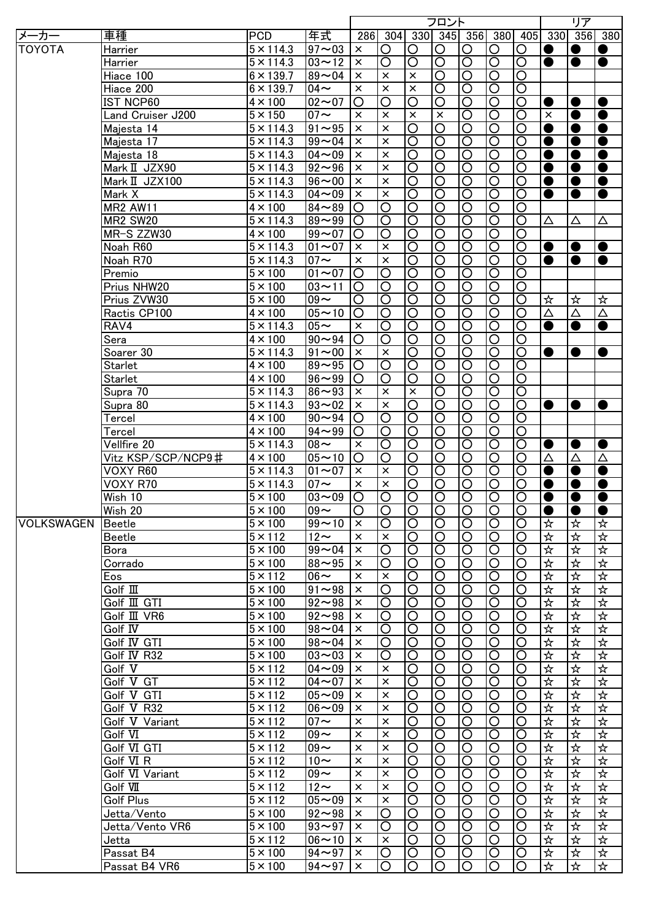|                   |                       |                        |                      |                    |                    |                         | フロント                    |                       |                         |                         |                | リア        |           |
|-------------------|-----------------------|------------------------|----------------------|--------------------|--------------------|-------------------------|-------------------------|-----------------------|-------------------------|-------------------------|----------------|-----------|-----------|
| メーカー              | 車種                    | <b>PCD</b>             | 年式                   |                    |                    |                         |                         |                       | 286 304 330 345 356 380 | 405                     |                | 330 356   | 380       |
| <b>TOYOTA</b>     | Harrier               | $5 \times 114.3$       | $97 - 03$            | $\pmb{\times}$     | $\circ$            | O                       | O                       | $\circ$               | $\circ$                 | O                       | $\bullet$      | $\bullet$ |           |
|                   | Harrier               | $\overline{5}$ × 114.3 | $03 - 12$            | $\pmb{\times}$     | $\overline{\rm O}$ | $\overline{\rm O}$      | $\overline{\mathsf{O}}$ | $\overline{\circ}$    | $\overline{\circ}$      | $\overline{\rm O}$      | $\bullet$      | $\bullet$ | $\bullet$ |
|                   | Hiace 100             | $6 \times 139.7$       | $89 - 04$            | $\times$           | $\times$           | $\pmb{\times}$          | $\overline{\rm O}$      | $\overline{\text{O}}$ | $\overline{\mathsf{O}}$ | $\overline{\circ}$      |                |           |           |
|                   | Hiace 200             | $6 \times 139.7$       | $04 \sim$            | $\pmb{\times}$     | $\times$           | $\pmb{\times}$          | $\overline{\rm O}$      | $\overline{\bigcirc}$ | $\overline{\circ}$      | ਠ                       |                |           |           |
|                   | <b>IST NCP60</b>      | $4 \times 100$         | $02 - 07$            | $\overline{\rm O}$ | $\overline{\rm O}$ | $\overline{\mathsf{O}}$ | $\overline{\mathsf{O}}$ | ੋ                     | $\overline{\circ}$      | $\overline{\circ}$      | $\bullet$      | $\bullet$ |           |
|                   | Land Cruiser J200     | $5 \times 150$         | $07 \sim$            | $\times$           | $\times$           | $\times$                | $\times$                | $\overline{O}$        | $\overline{\bigcirc}$   | $\overline{O}$          | $\times$       | $\bullet$ | $\bullet$ |
|                   | Majesta 14            | $5 \times 114.3$       | $91 - 95$            | $\times$           | $\times$           | $\overline{\circ}$      | $\overline{\mathsf{O}}$ | $\overline{\circ}$    | $\overline{\circ}$      | $\overline{\mathsf{O}}$ | $\bullet$      | $\bullet$ | $\bullet$ |
|                   | Majesta 17            | $5 \times 114.3$       | $99 - 04$            | $\pmb{\times}$     | $\times$           | $\overline{\mathsf{O}}$ | $\overline{\text{O}}$   | $\overline{\circ}$    | $\overline{\circ}$      | $\overline{\mathsf{O}}$ | $\bullet$      | $\bullet$ | $\bullet$ |
|                   | Majesta 18            | $5 \times 114.3$       | $04 - 09$            | $\pmb{\times}$     | $\times$           | $\overline{\mathsf{O}}$ | $\overline{\mathsf{O}}$ | $\overline{\circ}$    | $\overline{\circ}$      | $\overline{\circ}$      | $\bullet$      | $\bullet$ | $\bullet$ |
|                   | Mark II JZX90         | $5 \times 114.3$       | $92 - 96$            | $\pmb{\times}$     | $\times$           | $\overline{\mathsf{O}}$ | $\overline{\text{O}}$   | $\overline{\circ}$    | $\overline{\circ}$      | $\overline{\circ}$      | $\bullet$      | $\bullet$ | $\bullet$ |
|                   |                       |                        | $96 - 00$            | $\pmb{\times}$     | $\times$           | $\overline{\circ}$      | $\overline{\text{O}}$   | $\overline{\circ}$    | $\overline{\circ}$      | $\overline{\circ}$      |                | $\bullet$ | $\bullet$ |
|                   | Mark II JZX100        | $5 \times 114.3$       |                      |                    |                    |                         |                         |                       |                         |                         | $\bullet$      |           |           |
|                   | Mark X                | $5 \times 114.3$       | $04 - 09$            | $\pmb{\times}$     | $\times$           | $\overline{\circ}$      | $\overline{\circ}$      | $\overline{O}$        | $\overline{\circ}$      | $\overline{\circ}$      | ●              | $\bullet$ | $\bullet$ |
|                   | <b>MR2 AW11</b>       | $4 \times 100$         | $84 - 89$            | O                  | O                  | $\overline{\circ}$      | $\overline{\rm O}$      | $\circ$               | $\overline{\circ}$      | $\overline{\circ}$      |                |           |           |
|                   | <b>MR2 SW20</b>       | $5 \times 114.3$       | $89 - 99$            | O                  | $\circ$            | $\overline{\circ}$      | $\overline{\rm O}$      | $\circ$               | $\overline{\circ}$      | $\overline{\bigcirc}$   | Δ              | Δ         | Δ         |
|                   | MR-S ZZW30            | $4 \times 100$         | $99 - 07$            | O                  | O                  | $\overline{\circ}$      | $\overline{\rm O}$      | $\circ$               | $\overline{\circ}$      | ਠ                       |                |           |           |
|                   | Noah R60              | $5 \times 114.3$       | $01 - 07$            | $\times$           | $\times$           | $\overline{\circ}$      | O                       | $\circ$               | $\overline{\circ}$      | $\overline{\circ}$      | $\bullet$      | $\bullet$ | $\bullet$ |
|                   | Noah R70              | $5 \times 114.3$       | $07 \sim$            | $\times$           | $\times$           | $\overline{\circ}$      | O                       | $\circ$               | $\overline{\circ}$      | O                       | $\bullet$      | $\bullet$ | $\bullet$ |
|                   | Premio                | $5 \times 100$         | $01 - 07$            | O                  | O                  | $\overline{\circ}$      | $\circ$                 | $\circ$               | $\overline{\circ}$      | $\circ$                 |                |           |           |
|                   | Prius NHW20           | $5 \times 100$         | $03 - 11$            | O                  | O                  | $\overline{O}$          | $\circ$                 | $\circ$               | $\overline{O}$          | $\circ$                 |                |           |           |
|                   | Prius ZVW30           | $5 \times 100$         | $09 -$               | O                  | O                  | $\overline{O}$          | $\circ$                 | O                     | $\overline{O}$          | $\circ$                 | ☆              | ☆         | ☆         |
|                   | Ractis CP100          | $4 \times 100$         | $05 - 10$            | O                  | O                  | $\overline{O}$          | O                       | $\circ$               | $\overline{O}$          | $\circ$                 | Δ              | Δ         | Δ         |
|                   | RAV4                  | $5 \times 114.3$       | $05\sim$             | $\times$           | O                  | $\overline{O}$          | $\circ$                 | O                     | $\overline{O}$          | $\circ$                 | $\bullet$      | $\bullet$ | $\bullet$ |
|                   | Sera                  | $4 \times 100$         | $90 - 94$            | O                  | O                  | $\bigcirc$              | $\overline{O}$          | $\circ$               | $\bigcirc$              | $\circ$                 |                |           |           |
|                   | Soarer 30             | $5 \times 114.3$       | $91 - 00$            | $\times$           | $\times$           | O                       | O                       | $\circ$               | $\bigcirc$              | O                       | $\bullet$      | $\bullet$ | $\bullet$ |
|                   | Starlet               | $4 \times 100$         | $89 - 95$            | O                  | O                  | $\overline{O}$          | O                       | $\circ$               | $\overline{O}$          | O                       |                |           |           |
|                   | <b>Starlet</b>        | $4 \times 100$         | $96 - 99$            | O                  | O                  | O                       | O                       | O                     | $\overline{O}$          | O                       |                |           |           |
|                   | Supra 70              | $5 \times 114.3$       | $86 - 93$            | $\times$           | $\times$           | $\times$                | O                       | $\circ$               | $\overline{O}$          | $\overline{\rm O}$      |                |           |           |
|                   | Supra 80              | $5 \times 114.3$       | $93 - 02$            | $\times$           | $\times$           | $\overline{\rm O}$      | O                       | $\circ$               | $\circ$                 | O                       | $\bullet$      | $\bullet$ | $\bullet$ |
|                   | Tercel                | $4 \times 100$         | $90 - 94$            | O                  | O                  | O                       | O                       | O                     | O                       | O                       |                |           |           |
|                   | Tercel                | $4 \times 100$         | $94 - 99$            | O                  | O                  | O                       | O                       | O                     | O                       | O                       |                |           |           |
|                   | Vellfire 20           | $5 \times 114.3$       | $08 -$               | $\times$           | O                  | O                       | O                       | $\circ$               | $\overline{\rm O}$      | $\overline{\rm O}$      |                | $\bullet$ | $\bullet$ |
|                   | Vitz KSP/SCP/NCP9#    | $4 \times 100$         | $05 - 10$            | O                  | O                  | O                       | O                       | $\circ$               | O                       | O                       | $\bullet$<br>Δ | Δ         | Δ         |
|                   |                       |                        | $01 - 07$            | $\times$           |                    |                         |                         |                       |                         |                         |                |           |           |
|                   | VOXY R60              | $5 \times 114.3$       |                      |                    | $\times$           | O                       | O                       | $\circ$               | $\circ$                 | O                       | $\bullet$      | $\bullet$ | $\bullet$ |
|                   | VOXY R70              | $5 \times 114.3$       | $07 \sim$            | $\times$           | $\times$           | O                       | O                       | O                     | O                       | O                       | ●              | $\bullet$ | $\bullet$ |
|                   | Wish 10               | $5 \times 100$         | $03 - 09$            | O                  | $\circ$            | $\overline{O}$          | $\overline{O}$          | $\circ$               | $\overline{O}$          | O                       | $\bullet$      |           | $\bullet$ |
|                   | Wish 20               | $5 \times 100$         | $109 -$              | Ő                  | IO                 | IO                      | O                       | IO                    | IO                      | IО                      | $\bullet$      |           |           |
| <b>VOLKSWAGEN</b> | Beetle                | $5 \times 100$         | $99 - 10$            | $\times$           | $\circ$            | $\circ$                 | O                       | $\circ$               | $\circ$                 | $\circ$                 | ☆              | ☆         | ☆         |
|                   | <b>Beetle</b>         | $5 \times 112$         | $12-$                | $\times$           | $\times$           | $\circ$                 | O                       | O                     | $\circ$                 | O                       | ☆              | ☆         | ☆         |
|                   | Bora                  | $5 \times 100$         | $99 - 04$            | $\times$           | O                  | $\circ$                 | O                       | O                     | $\circ$                 | O                       | ☆              | ☆         | ☆         |
|                   | Corrado               | $5 \times 100$         | $88 - 95$            | $\times$           | O                  | $\circ$                 | O                       | O                     | $\circ$                 | O                       | ☆              | 卒         | ☆         |
|                   | Eos                   | $5 \times 112$         | $06 \sim$            | $\times$           | $\times$           | $\circ$                 | O                       | O                     | $\circ$                 | O                       | ☆              | ☆         | ☆         |
|                   | $G$ olf $\mathbb{II}$ | $5 \times 100$         | $91 - 98$            | $\times$           | O                  | $\circ$                 | O                       | O                     | $\circ$                 | O                       | ☆              | ☆         | ☆         |
|                   | Golf III GTI          | $5 \times 100$         | $92 - 98$            | $\times$           | O                  | $\circ$                 | O                       | O                     | $\circ$                 | O                       | ☆              | 坏         | ☆         |
|                   | Golf III VR6          | $5 \times 100$         | $92 - 98$            | $\times$           | O                  | $\circ$                 | O                       | O                     | $\circ$                 | O                       | ☆              | 坏         | ☆         |
|                   | Golf IV               | $5 \times 100$         | $98 - 04$            | $\times$           | O                  | $\circ$                 | O                       | O                     | $\circ$                 | O                       | ☆              | 坏         | ☆         |
|                   | Golf IV GTI           | $5 \times 100$         | $98 - 04$            | $\times$           | O                  | $\circ$                 | O                       | O                     | $\circ$                 | O                       | ☆              | 坏         | ☆         |
|                   | Golf IV R32           | $5 \times 100$         | $03 - 03$            | $\times$           | O                  | O                       | O                       | O                     | $\circ$                 | O                       | ☆              | ☆         | ☆         |
|                   | Golf V                | $5 \times 112$         | $04 - 09$            | $\times$           | $\times$           | O                       | O                       | O                     | $\circ$                 | O                       | ☆              | ☆         | ☆         |
|                   | Golf V GT             | $5 \times 112$         | $04 - 07$            | $\times$           | $\times$           | O                       | O                       | $\circ$               | $\overline{\text{O}}$   | O                       | ☆              | 卒         | ☆         |
|                   | Golf V GTI            | $5 \times 112$         | $05 - 09$            | $\times$           | $\times$           | O                       | O                       | O                     | $\overline{\text{O}}$   | O                       | ☆              | 卒         | ☆         |
|                   | Golf V R32            | $5 \times 112$         | $06 - 09$            | $\times$           | $\times$           | O                       | O                       | $\circ$               | $\overline{\bigcirc}$   | O                       | ☆              | ☆         | ☆         |
|                   | Golf V Variant        | $5 \times 112$         | $07 \sim$            | $\times$           | $\times$           | O                       | O                       | $\circ$               | $\overline{O}$          | O                       | ☆              | 坏         | ☆         |
|                   | Golf VI               | $5 \times 112$         | $09 -$               | $\times$           | $\times$           | O                       | O                       | $\circ$               | $\circ$                 | O                       | ☆              | ☆         | ☆         |
|                   | Golf VI GTI           | $5 \times 112$         | $09 -$               | $\times$           | $\times$           | $\overline{O}$          | $\overline{\rm O}$      | $\circ$               | $\overline{O}$          | $\overline{\rm O}$      | ☆              | 坏         | ☆         |
|                   |                       |                        |                      |                    |                    |                         |                         |                       |                         |                         |                |           |           |
|                   | Golf VI <sub>R</sub>  | $5 \times 112$         | $10\sim$             | $\times$           | $\times$           | $\circ$                 | $\overline{\rm O}$      | $\circ$               | $\overline{O}$          | $\overline{\bigcirc}$   | ☆              | 坏         | ☆         |
|                   | Golf VI Variant       | $5 \times 112$         | $09 -$               | $\times$           | $\times$           | $\circ$                 | $\overline{\rm O}$      | $\circ$               | $\overline{O}$          | $\overline{\rm O}$      | ☆              | 坏         | ☆         |
|                   | Golf VII              | $5 \times 112$         | $12\sim$             | $\pmb{\times}$     | $\times$           | O                       | $\overline{\rm O}$      | $\circ$               | $\overline{O}$          | $\overline{\rm O}$      | ☆              | 坏         | ☆         |
|                   | <b>Golf Plus</b>      | $5 \times 112$         | $05 - 09$            | $\times$           | $\times$           | $\circ$                 | $\overline{\rm O}$      | $\circ$               | $\overline{O}$          | $\overline{\rm O}$      | ☆              | ☆         | ☆         |
|                   | Jetta/Vento           | $5 \times 100$         | $92 - 98$            | $\times$           | O                  | $\circ$                 | O                       | $\circ$               | $\circ$                 | $\circ$                 | ☆              | ☆         | ☆         |
|                   | Jetta/Vento VR6       | $5 \times 100$         | $93 - 97$            | $\times$           | O                  | $\circ$                 | O                       | O                     | $\circ$                 | O                       | ☆              | ☆         | ☆         |
|                   | Jetta                 | $5 \times 112$         | $\overline{06}$ ~ 10 | $\times$           | $\times$           | $\circ$                 | O                       | O                     | $\circ$                 | O                       | ☆              | ☆         | ☆         |
|                   | Passat B4             | $5 \times 100$         | $94 - 97$            | $\times$           | O                  | $\circ$                 | O                       | O                     | $\circ$                 | O                       | ☆              | ☆         | ☆         |
|                   | Passat B4 VR6         | $5 \times 100$         | $94 - 97$            | $\times$           | O                  | O                       | O                       | O                     | O                       | O                       | ☆              | ☆         | ☆         |